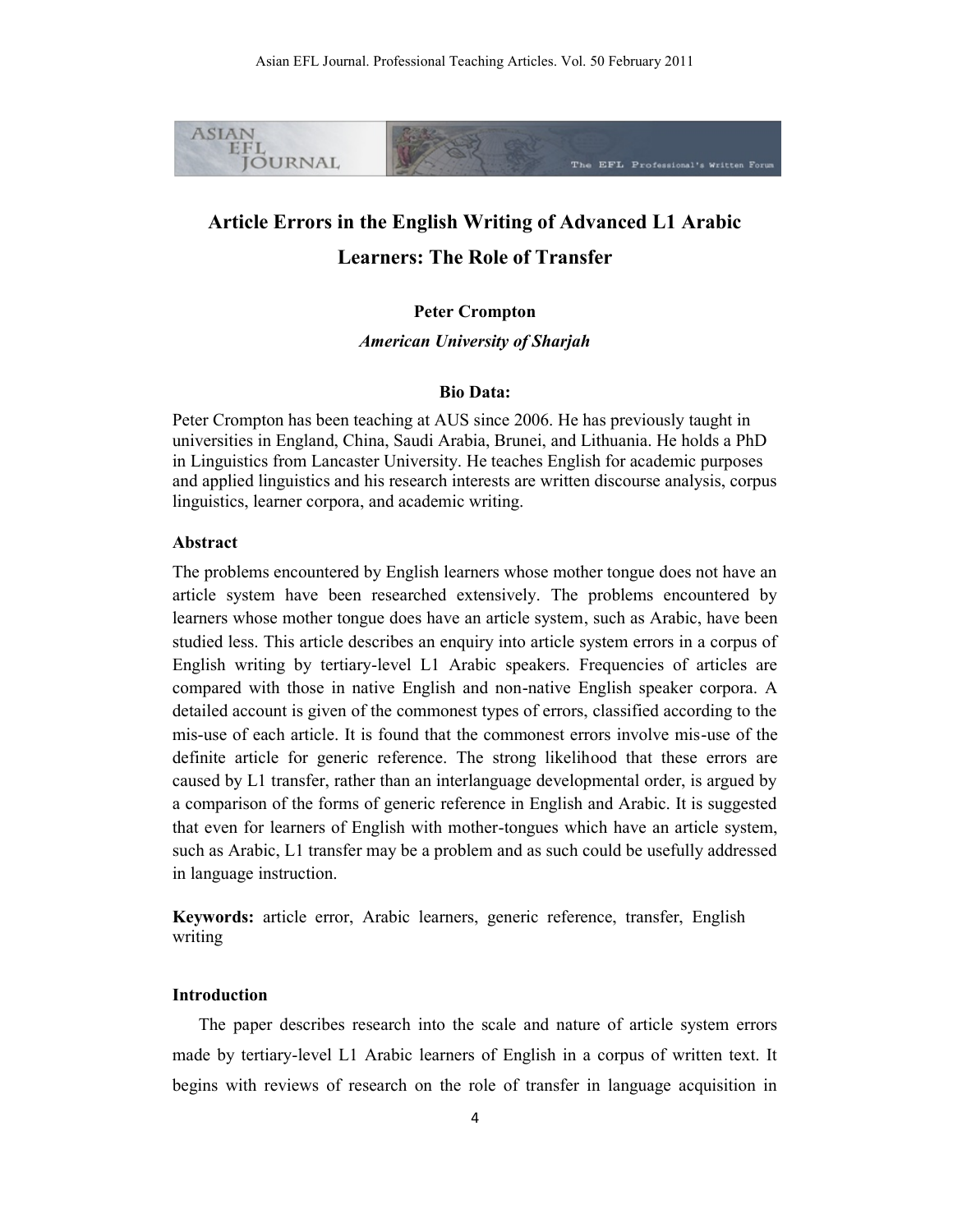

# **Article Errors in the English Writing of Advanced L1 Arabic Learners: The Role of Transfer**

# **Peter Crompton**

*American University of Sharjah*

# **Bio Data:**

Peter Crompton has been teaching at AUS since 2006. He has previously taught in universities in England, China, Saudi Arabia, Brunei, and Lithuania. He holds a PhD in Linguistics from Lancaster University. He teaches English for academic purposes and applied linguistics and his research interests are written discourse analysis, corpus linguistics, learner corpora, and academic writing.

# **Abstract**

The problems encountered by English learners whose mother tongue does not have an article system have been researched extensively. The problems encountered by learners whose mother tongue does have an article system, such as Arabic, have been studied less. This article describes an enquiry into article system errors in a corpus of English writing by tertiary-level L1 Arabic speakers. Frequencies of articles are compared with those in native English and non-native English speaker corpora. A detailed account is given of the commonest types of errors, classified according to the mis-use of each article. It is found that the commonest errors involve mis-use of the definite article for generic reference. The strong likelihood that these errors are caused by L1 transfer, rather than an interlanguage developmental order, is argued by a comparison of the forms of generic reference in English and Arabic. It is suggested that even for learners of English with mother-tongues which have an article system, such as Arabic, L1 transfer may be a problem and as such could be usefully addressed in language instruction.

**Keywords:** article error, Arabic learners, generic reference, transfer, English writing

# **Introduction**

The paper describes research into the scale and nature of article system errors made by tertiary-level L1 Arabic learners of English in a corpus of written text. It begins with reviews of research on the role of transfer in language acquisition in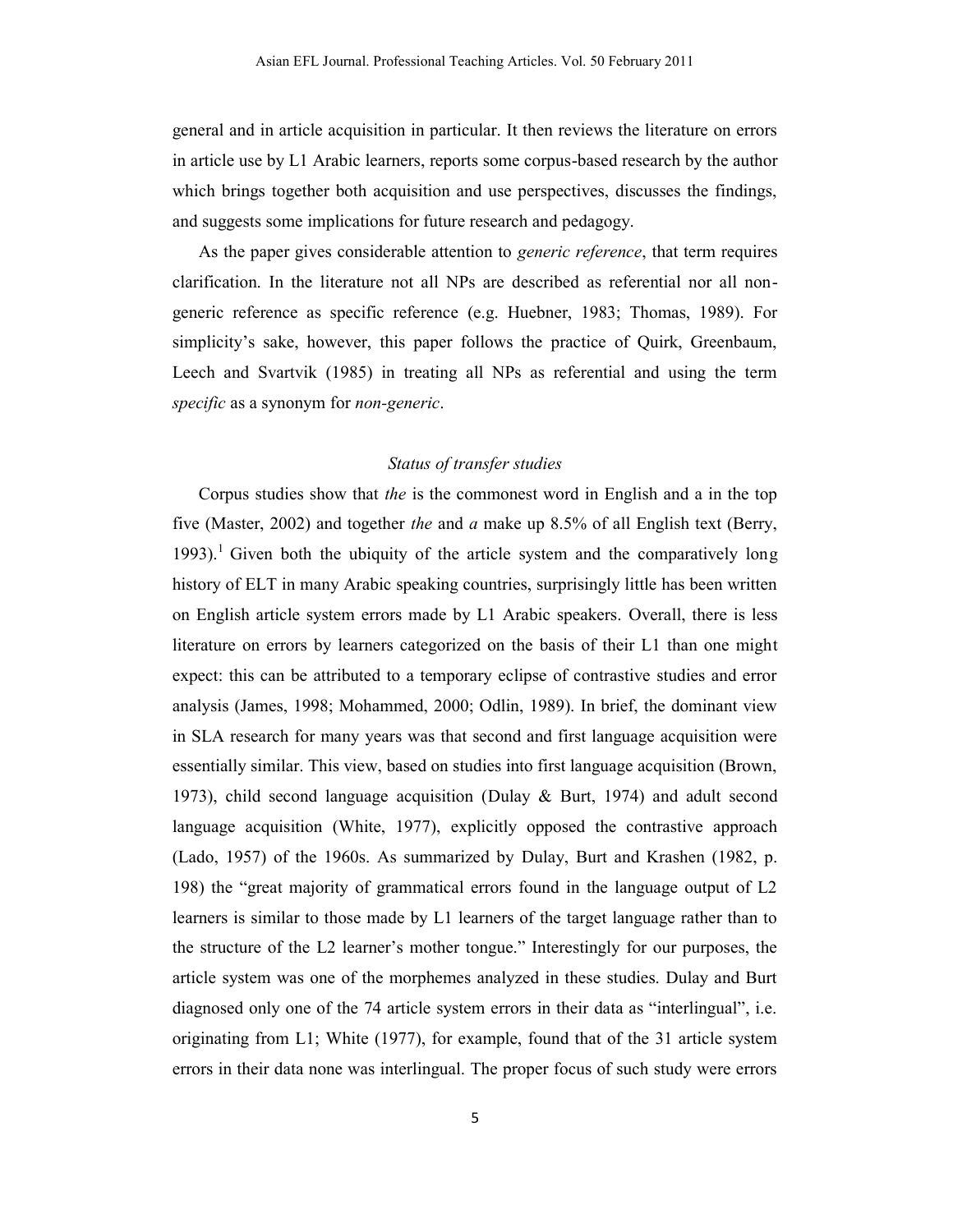general and in article acquisition in particular. It then reviews the literature on errors in article use by L1 Arabic learners, reports some corpus-based research by the author which brings together both acquisition and use perspectives, discusses the findings, and suggests some implications for future research and pedagogy.

As the paper gives considerable attention to *generic reference*, that term requires clarification. In the literature not all NPs are described as referential nor all nongeneric reference as specific reference (e.g. Huebner, 1983; Thomas, 1989). For simplicity's sake, however, this paper follows the practice of Quirk, Greenbaum, Leech and Svartvik (1985) in treating all NPs as referential and using the term *specific* as a synonym for *non-generic*.

# *Status of transfer studies*

Corpus studies show that *the* is the commonest word in English and a in the top five (Master, 2002) and together *the* and *a* make up 8.5% of all English text (Berry, 1993).<sup>1</sup> Given both the ubiquity of the article system and the comparatively long history of ELT in many Arabic speaking countries, surprisingly little has been written on English article system errors made by L1 Arabic speakers. Overall, there is less literature on errors by learners categorized on the basis of their L1 than one might expect: this can be attributed to a temporary eclipse of contrastive studies and error analysis (James, 1998; Mohammed, 2000; Odlin, 1989). In brief, the dominant view in SLA research for many years was that second and first language acquisition were essentially similar. This view, based on studies into first language acquisition (Brown, 1973), child second language acquisition (Dulay & Burt, 1974) and adult second language acquisition (White, 1977), explicitly opposed the contrastive approach (Lado, 1957) of the 1960s. As summarized by Dulay, Burt and Krashen (1982, p. 198) the "great majority of grammatical errors found in the language output of L2 learners is similar to those made by L1 learners of the target language rather than to the structure of the L2 learner's mother tongue." Interestingly for our purposes, the article system was one of the morphemes analyzed in these studies. Dulay and Burt diagnosed only one of the 74 article system errors in their data as "interlingual", i.e. originating from L1; White (1977), for example, found that of the 31 article system errors in their data none was interlingual. The proper focus of such study were errors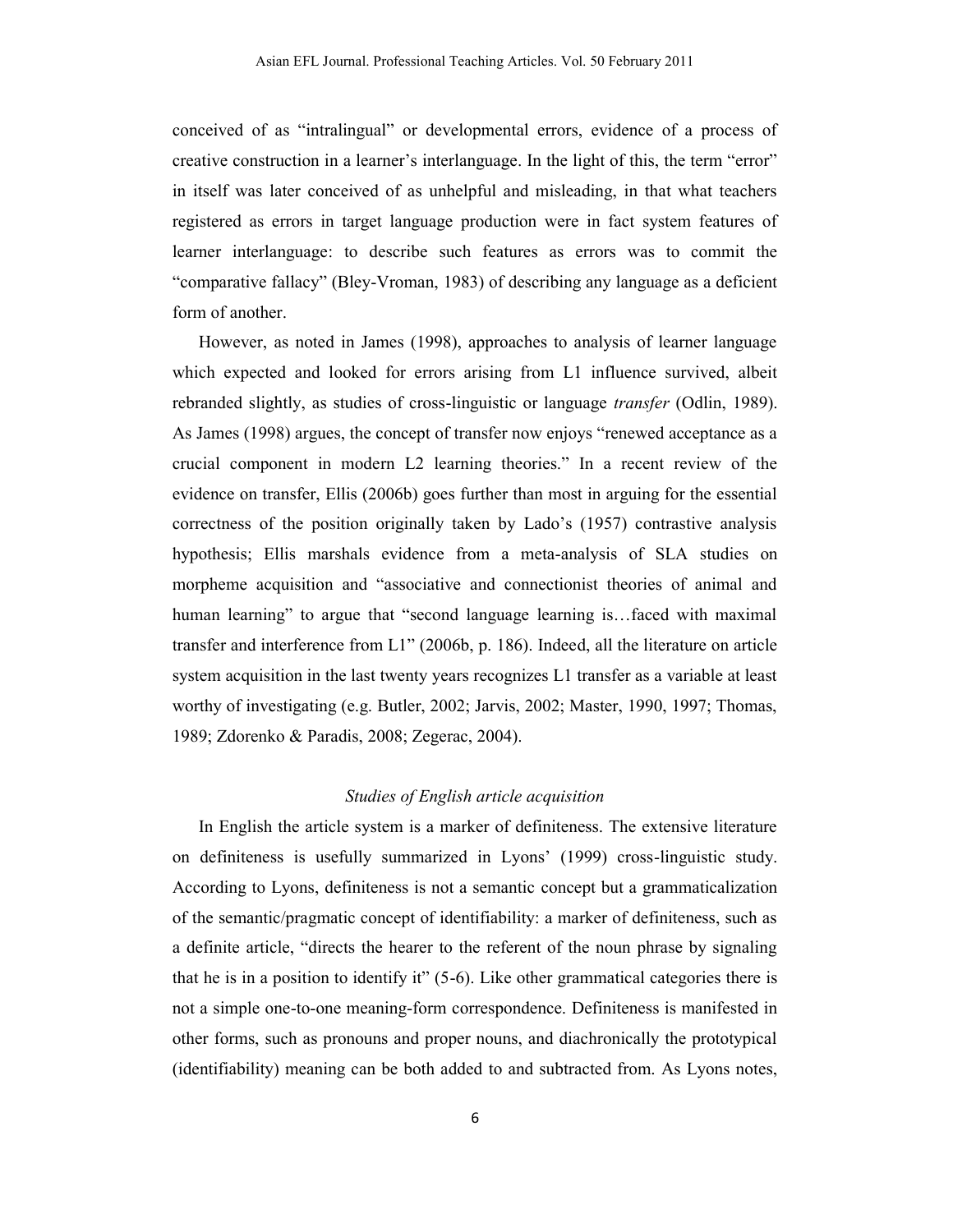conceived of as "intralingual" or developmental errors, evidence of a process of creative construction in a learner's interlanguage. In the light of this, the term "error" in itself was later conceived of as unhelpful and misleading, in that what teachers registered as errors in target language production were in fact system features of learner interlanguage: to describe such features as errors was to commit the "comparative fallacy" (Bley-Vroman, 1983) of describing any language as a deficient form of another.

However, as noted in James (1998), approaches to analysis of learner language which expected and looked for errors arising from L1 influence survived, albeit rebranded slightly, as studies of cross-linguistic or language *transfer* (Odlin, 1989). As James (1998) argues, the concept of transfer now enjoys "renewed acceptance as a crucial component in modern L2 learning theories." In a recent review of the evidence on transfer, Ellis (2006b) goes further than most in arguing for the essential correctness of the position originally taken by Lado's (1957) contrastive analysis hypothesis; Ellis marshals evidence from a meta-analysis of SLA studies on morpheme acquisition and "associative and connectionist theories of animal and human learning" to argue that "second language learning is...faced with maximal transfer and interference from L1" (2006b, p. 186). Indeed, all the literature on article system acquisition in the last twenty years recognizes L1 transfer as a variable at least worthy of investigating (e.g. Butler, 2002; Jarvis, 2002; Master, 1990, 1997; Thomas, 1989; Zdorenko & Paradis, 2008; Zegerac, 2004).

# *Studies of English article acquisition*

In English the article system is a marker of definiteness. The extensive literature on definiteness is usefully summarized in Lyons' (1999) cross-linguistic study. According to Lyons, definiteness is not a semantic concept but a grammaticalization of the semantic/pragmatic concept of identifiability: a marker of definiteness, such as a definite article, "directs the hearer to the referent of the noun phrase by signaling that he is in a position to identify it" (5-6). Like other grammatical categories there is not a simple one-to-one meaning-form correspondence. Definiteness is manifested in other forms, such as pronouns and proper nouns, and diachronically the prototypical (identifiability) meaning can be both added to and subtracted from. As Lyons notes,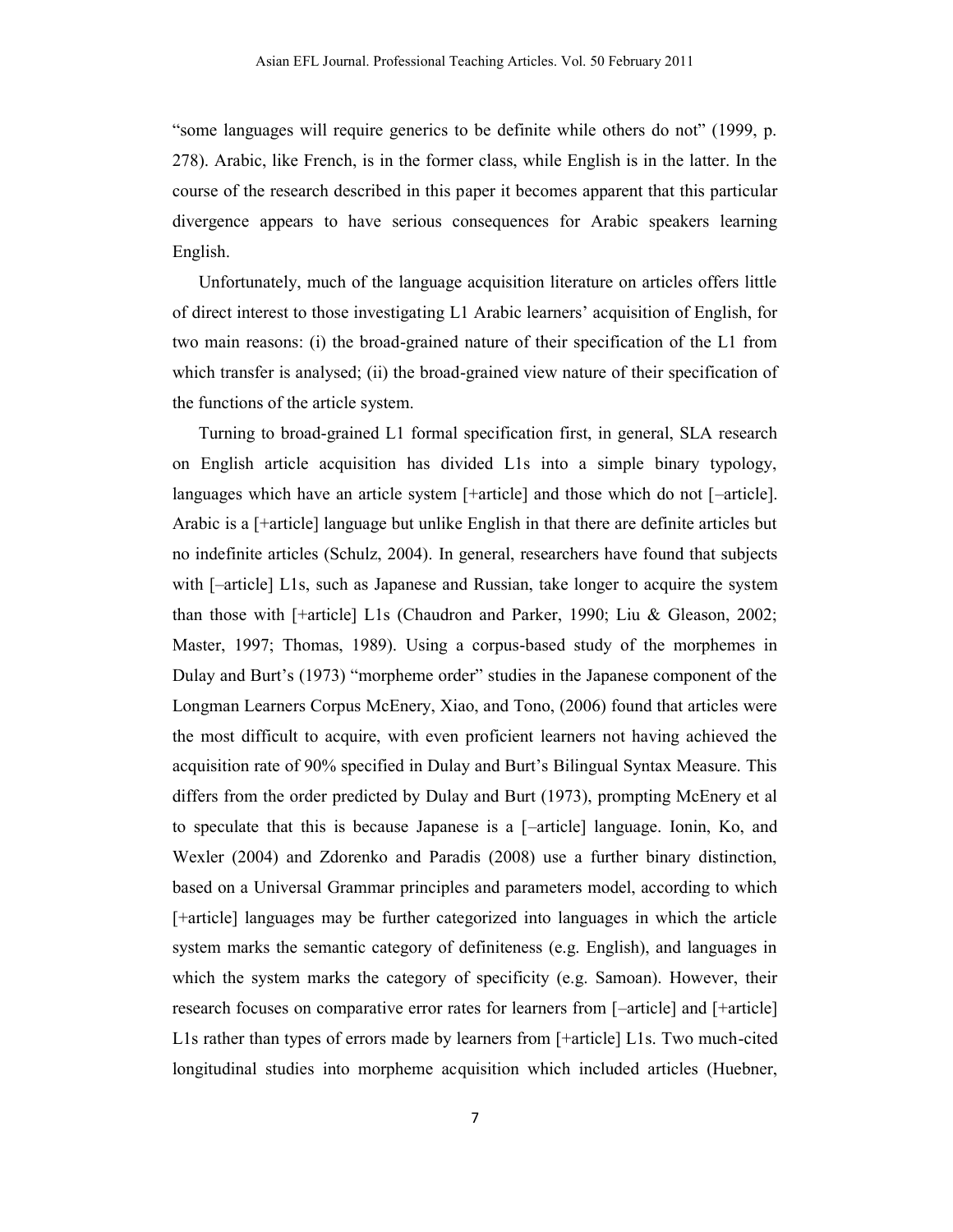"some languages will require generics to be definite while others do not" (1999, p. 278). Arabic, like French, is in the former class, while English is in the latter. In the course of the research described in this paper it becomes apparent that this particular divergence appears to have serious consequences for Arabic speakers learning English.

Unfortunately, much of the language acquisition literature on articles offers little of direct interest to those investigating L1 Arabic learners' acquisition of English, for two main reasons: (i) the broad-grained nature of their specification of the L1 from which transfer is analysed; (ii) the broad-grained view nature of their specification of the functions of the article system.

Turning to broad-grained L1 formal specification first, in general, SLA research on English article acquisition has divided L1s into a simple binary typology, languages which have an article system [+article] and those which do not [-article]. Arabic is a [+article] language but unlike English in that there are definite articles but no indefinite articles (Schulz, 2004). In general, researchers have found that subjects with [–article] L1s, such as Japanese and Russian, take longer to acquire the system than those with [+article] L1s (Chaudron and Parker, 1990; Liu & Gleason, 2002; Master, 1997; Thomas, 1989). Using a corpus-based study of the morphemes in Dulay and Burt's (1973) "morpheme order" studies in the Japanese component of the Longman Learners Corpus McEnery, Xiao, and Tono, (2006) found that articles were the most difficult to acquire, with even proficient learners not having achieved the acquisition rate of 90% specified in Dulay and Burt's Bilingual Syntax Measure. This differs from the order predicted by Dulay and Burt (1973), prompting McEnery et al to speculate that this is because Japanese is a [–article] language. Ionin, Ko, and Wexler (2004) and Zdorenko and Paradis (2008) use a further binary distinction, based on a Universal Grammar principles and parameters model, according to which [+article] languages may be further categorized into languages in which the article system marks the semantic category of definiteness (e.g. English), and languages in which the system marks the category of specificity (e.g. Samoan). However, their research focuses on comparative error rates for learners from [–article] and [+article] L1s rather than types of errors made by learners from [+article] L1s. Two much-cited longitudinal studies into morpheme acquisition which included articles (Huebner,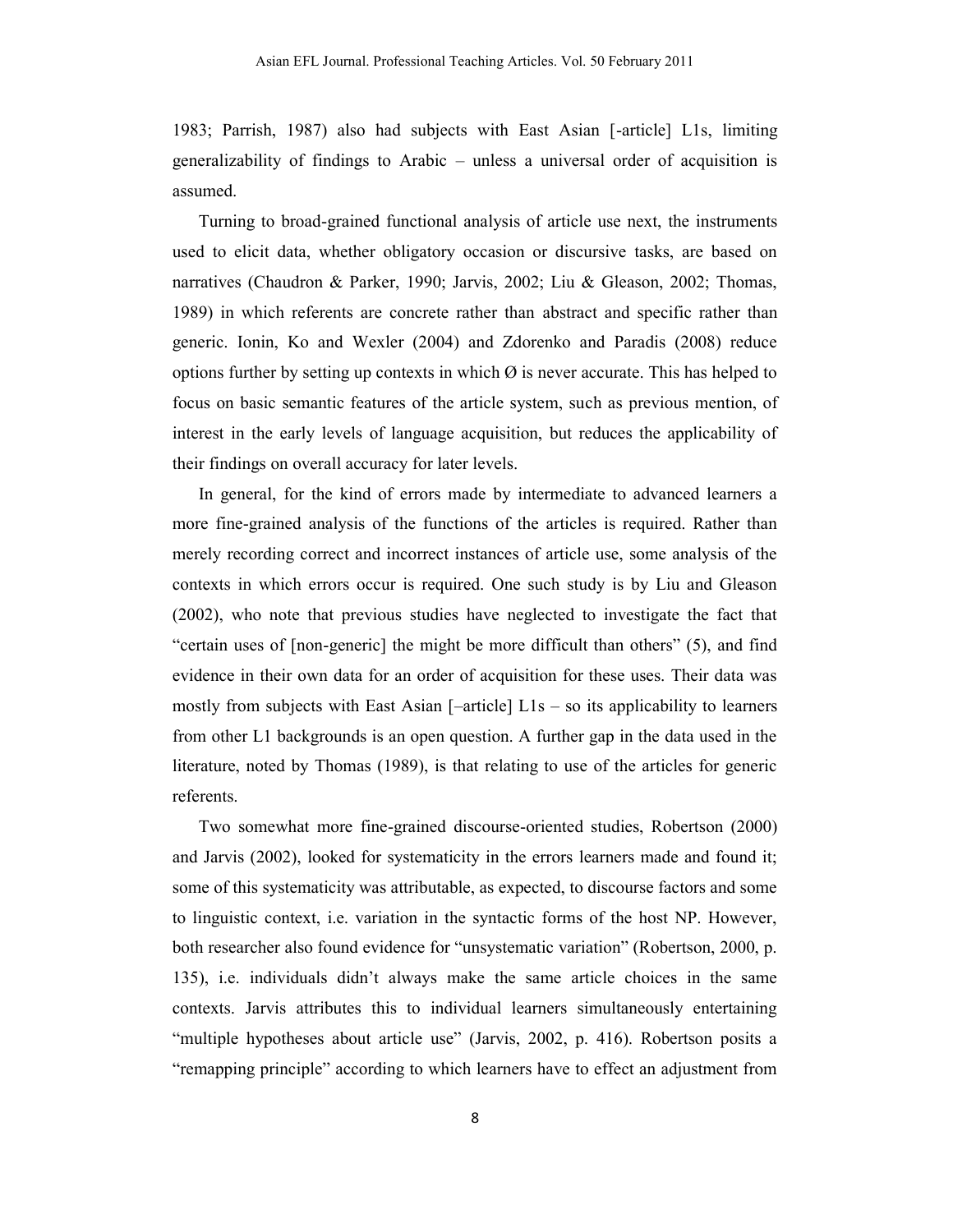1983; Parrish, 1987) also had subjects with East Asian [-article] L1s, limiting generalizability of findings to Arabic – unless a universal order of acquisition is assumed.

Turning to broad-grained functional analysis of article use next, the instruments used to elicit data, whether obligatory occasion or discursive tasks, are based on narratives (Chaudron & Parker, 1990; Jarvis, 2002; Liu & Gleason, 2002; Thomas, 1989) in which referents are concrete rather than abstract and specific rather than generic. Ionin, Ko and Wexler (2004) and Zdorenko and Paradis (2008) reduce options further by setting up contexts in which  $\varnothing$  is never accurate. This has helped to focus on basic semantic features of the article system, such as previous mention, of interest in the early levels of language acquisition, but reduces the applicability of their findings on overall accuracy for later levels.

In general, for the kind of errors made by intermediate to advanced learners a more fine-grained analysis of the functions of the articles is required. Rather than merely recording correct and incorrect instances of article use, some analysis of the contexts in which errors occur is required. One such study is by Liu and Gleason (2002), who note that previous studies have neglected to investigate the fact that "certain uses of [non-generic] the might be more difficult than others" (5), and find evidence in their own data for an order of acquisition for these uses. Their data was mostly from subjects with East Asian  $[-\text{article}]$  L1s – so its applicability to learners from other L1 backgrounds is an open question. A further gap in the data used in the literature, noted by Thomas (1989), is that relating to use of the articles for generic referents.

Two somewhat more fine-grained discourse-oriented studies, Robertson (2000) and Jarvis (2002), looked for systematicity in the errors learners made and found it; some of this systematicity was attributable, as expected, to discourse factors and some to linguistic context, i.e. variation in the syntactic forms of the host NP. However, both researcher also found evidence for "unsystematic variation" (Robertson, 2000, p. 135), i.e. individuals didn't always make the same article choices in the same contexts. Jarvis attributes this to individual learners simultaneously entertaining "multiple hypotheses about article use" (Jarvis, 2002, p. 416). Robertson posits a "remapping principle" according to which learners have to effect an adjustment from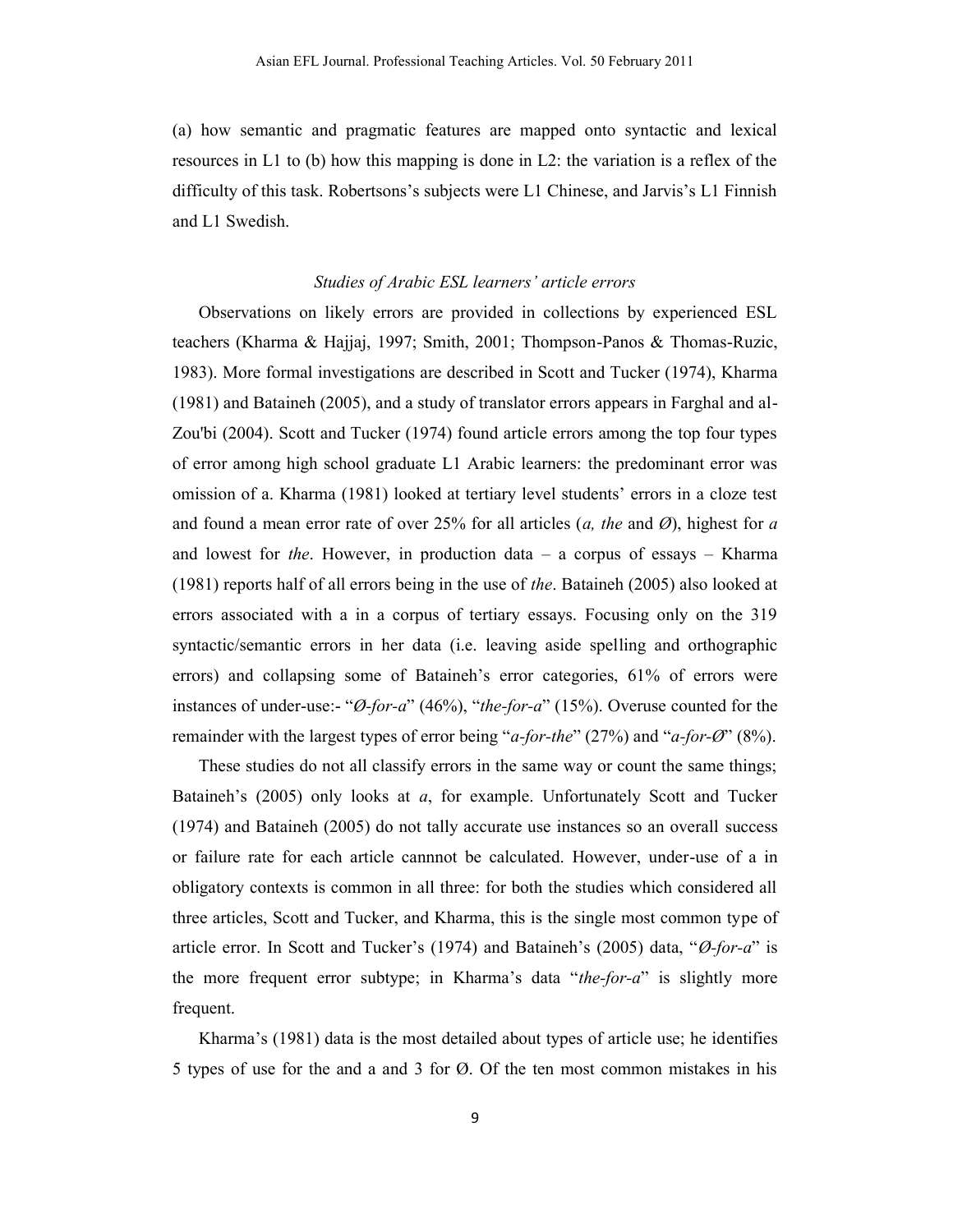(a) how semantic and pragmatic features are mapped onto syntactic and lexical resources in L1 to (b) how this mapping is done in L2: the variation is a reflex of the difficulty of this task. Robertsons's subjects were L1 Chinese, and Jarvis's L1 Finnish and L1 Swedish.

### *Studies of Arabic ESL learners' article errors*

Observations on likely errors are provided in collections by experienced ESL teachers (Kharma & Hajjaj, 1997; Smith, 2001; Thompson-Panos & Thomas-Ruzic, 1983). More formal investigations are described in Scott and Tucker (1974), Kharma (1981) and Bataineh (2005), and a study of translator errors appears in Farghal and al-Zou'bi (2004). Scott and Tucker (1974) found article errors among the top four types of error among high school graduate L1 Arabic learners: the predominant error was omission of a. Kharma (1981) looked at tertiary level students' errors in a cloze test and found a mean error rate of over 25% for all articles (*a, the* and *Ø*), highest for *a* and lowest for *the*. However, in production data – a corpus of essays – Kharma (1981) reports half of all errors being in the use of *the*. Bataineh (2005) also looked at errors associated with a in a corpus of tertiary essays. Focusing only on the 319 syntactic/semantic errors in her data (i.e. leaving aside spelling and orthographic errors) and collapsing some of Bataineh's error categories, 61% of errors were instances of under-use:- "*Ø-for-a*" (46%), "*the-for-a*" (15%). Overuse counted for the remainder with the largest types of error being "*a-for-the*" (27%) and "*a-for-Ø*" (8%).

These studies do not all classify errors in the same way or count the same things; Bataineh's (2005) only looks at *a*, for example. Unfortunately Scott and Tucker (1974) and Bataineh (2005) do not tally accurate use instances so an overall success or failure rate for each article cannnot be calculated. However, under-use of a in obligatory contexts is common in all three: for both the studies which considered all three articles, Scott and Tucker, and Kharma, this is the single most common type of article error. In Scott and Tucker's (1974) and Bataineh's (2005) data, "*Ø-for-a*" is the more frequent error subtype; in Kharma's data "*the-for-a*" is slightly more frequent.

Kharma's (1981) data is the most detailed about types of article use; he identifies 5 types of use for the and a and 3 for Ø. Of the ten most common mistakes in his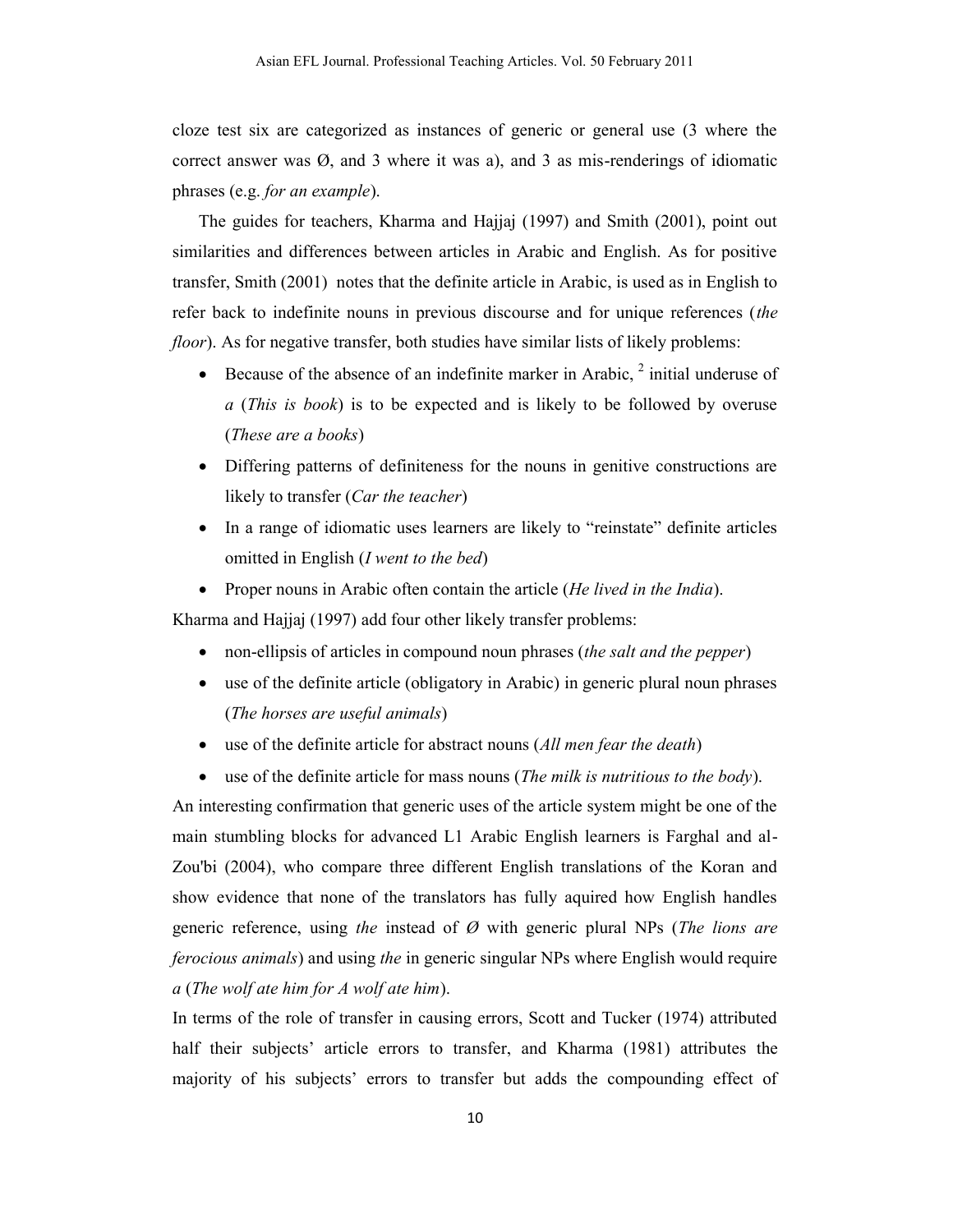cloze test six are categorized as instances of generic or general use (3 where the correct answer was  $\varnothing$ , and 3 where it was a), and 3 as mis-renderings of idiomatic phrases (e.g. *for an example*).

The guides for teachers, Kharma and Hajjaj (1997) and Smith (2001), point out similarities and differences between articles in Arabic and English. As for positive transfer, Smith (2001) notes that the definite article in Arabic, is used as in English to refer back to indefinite nouns in previous discourse and for unique references (*the floor*). As for negative transfer, both studies have similar lists of likely problems:

- Elecause of the absence of an indefinite marker in Arabic,  $2$  initial underuse of *a* (*This is book*) is to be expected and is likely to be followed by overuse (*These are a books*)
- Differing patterns of definiteness for the nouns in genitive constructions are likely to transfer (*Car the teacher*)
- In a range of idiomatic uses learners are likely to "reinstate" definite articles omitted in English (*I went to the bed*)
- Proper nouns in Arabic often contain the article (*He lived in the India*).

Kharma and Hajjaj (1997) add four other likely transfer problems:

- non-ellipsis of articles in compound noun phrases (*the salt and the pepper*)
- use of the definite article (obligatory in Arabic) in generic plural noun phrases (*The horses are useful animals*)
- use of the definite article for abstract nouns (*All men fear the death*)
- use of the definite article for mass nouns (*The milk is nutritious to the body*).

An interesting confirmation that generic uses of the article system might be one of the main stumbling blocks for advanced L1 Arabic English learners is Farghal and al-Zou'bi (2004), who compare three different English translations of the Koran and show evidence that none of the translators has fully aquired how English handles generic reference, using *the* instead of *Ø* with generic plural NPs (*The lions are ferocious animals*) and using *the* in generic singular NPs where English would require *a* (*The wolf ate him for A wolf ate him*).

In terms of the role of transfer in causing errors, Scott and Tucker (1974) attributed half their subjects' article errors to transfer, and Kharma (1981) attributes the majority of his subjects' errors to transfer but adds the compounding effect of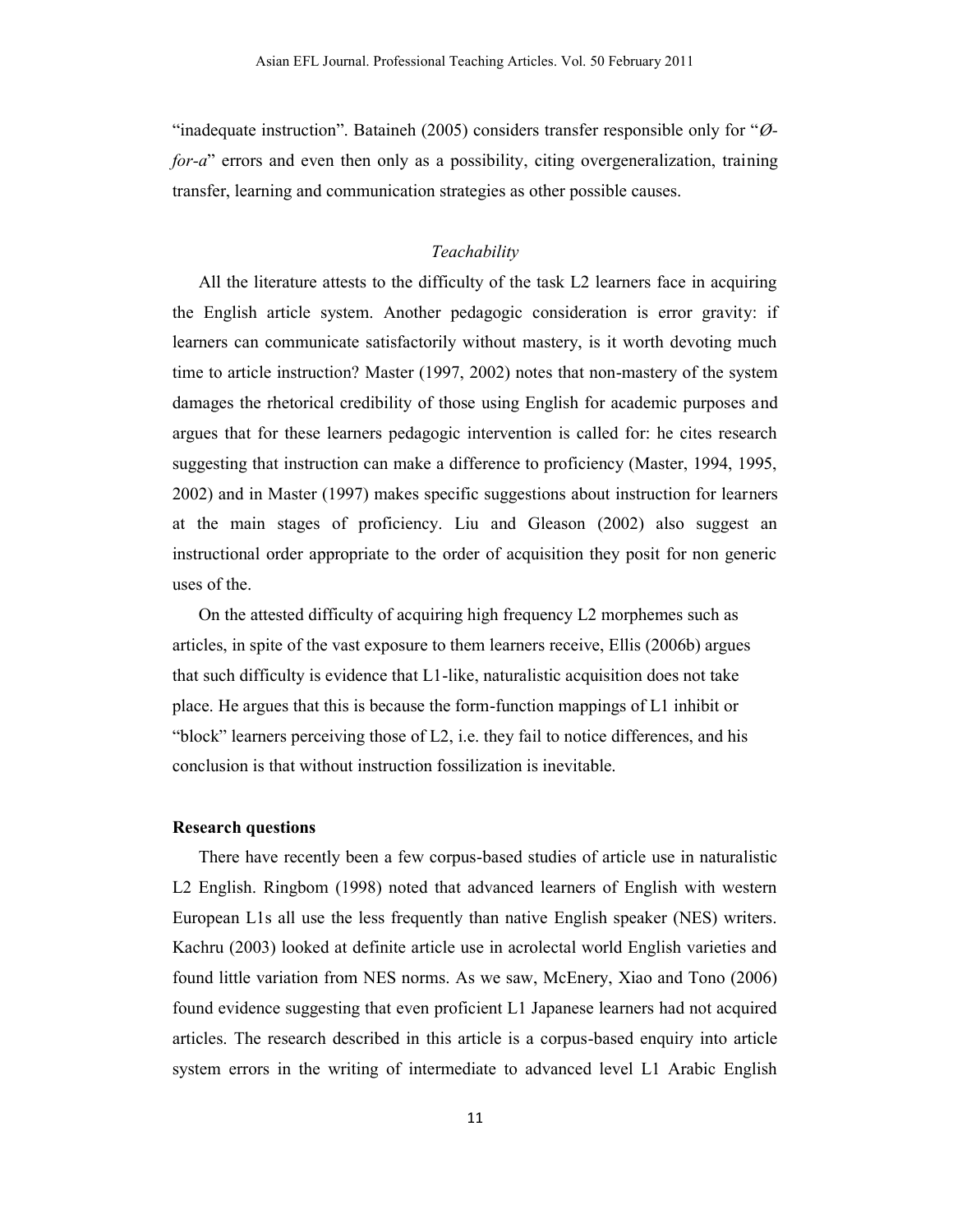"inadequate instruction". Bataineh (2005) considers transfer responsible only for "*Øfor-a*" errors and even then only as a possibility, citing overgeneralization, training transfer, learning and communication strategies as other possible causes.

# *Teachability*

All the literature attests to the difficulty of the task L2 learners face in acquiring the English article system. Another pedagogic consideration is error gravity: if learners can communicate satisfactorily without mastery, is it worth devoting much time to article instruction? Master (1997, 2002) notes that non-mastery of the system damages the rhetorical credibility of those using English for academic purposes and argues that for these learners pedagogic intervention is called for: he cites research suggesting that instruction can make a difference to proficiency (Master, 1994, 1995, 2002) and in Master (1997) makes specific suggestions about instruction for learners at the main stages of proficiency. Liu and Gleason (2002) also suggest an instructional order appropriate to the order of acquisition they posit for non generic uses of the.

On the attested difficulty of acquiring high frequency L2 morphemes such as articles, in spite of the vast exposure to them learners receive, Ellis (2006b) argues that such difficulty is evidence that L1-like, naturalistic acquisition does not take place. He argues that this is because the form-function mappings of L1 inhibit or "block" learners perceiving those of L2, i.e. they fail to notice differences, and his conclusion is that without instruction fossilization is inevitable.

#### **Research questions**

There have recently been a few corpus-based studies of article use in naturalistic L2 English. Ringbom (1998) noted that advanced learners of English with western European L1s all use the less frequently than native English speaker (NES) writers. Kachru (2003) looked at definite article use in acrolectal world English varieties and found little variation from NES norms. As we saw, McEnery, Xiao and Tono (2006) found evidence suggesting that even proficient L1 Japanese learners had not acquired articles. The research described in this article is a corpus-based enquiry into article system errors in the writing of intermediate to advanced level L1 Arabic English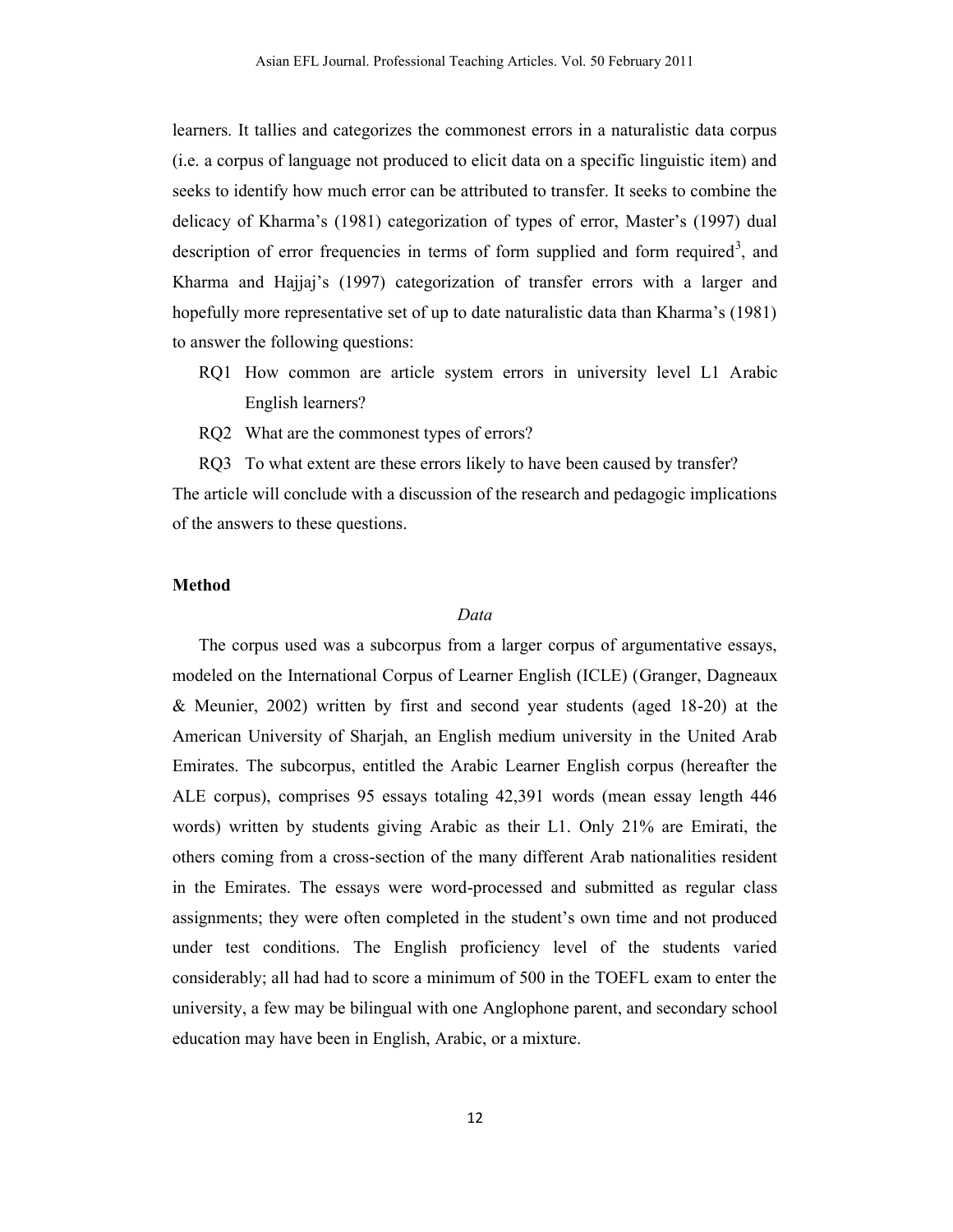learners. It tallies and categorizes the commonest errors in a naturalistic data corpus (i.e. a corpus of language not produced to elicit data on a specific linguistic item) and seeks to identify how much error can be attributed to transfer. It seeks to combine the delicacy of Kharma's (1981) categorization of types of error, Master's (1997) dual description of error frequencies in terms of form supplied and form required<sup>3</sup>, and Kharma and Hajjaj's (1997) categorization of transfer errors with a larger and hopefully more representative set of up to date naturalistic data than Kharma's (1981) to answer the following questions:

- RQ1 How common are article system errors in university level L1 Arabic English learners?
- RQ2 What are the commonest types of errors?

RQ3 To what extent are these errors likely to have been caused by transfer? The article will conclude with a discussion of the research and pedagogic implications of the answers to these questions.

#### **Method**

#### *Data*

The corpus used was a subcorpus from a larger corpus of argumentative essays, modeled on the International Corpus of Learner English (ICLE) (Granger, Dagneaux & Meunier, 2002) written by first and second year students (aged 18-20) at the American University of Sharjah, an English medium university in the United Arab Emirates. The subcorpus, entitled the Arabic Learner English corpus (hereafter the ALE corpus), comprises 95 essays totaling 42,391 words (mean essay length 446 words) written by students giving Arabic as their L1. Only 21% are Emirati, the others coming from a cross-section of the many different Arab nationalities resident in the Emirates. The essays were word-processed and submitted as regular class assignments; they were often completed in the student's own time and not produced under test conditions. The English proficiency level of the students varied considerably; all had had to score a minimum of 500 in the TOEFL exam to enter the university, a few may be bilingual with one Anglophone parent, and secondary school education may have been in English, Arabic, or a mixture.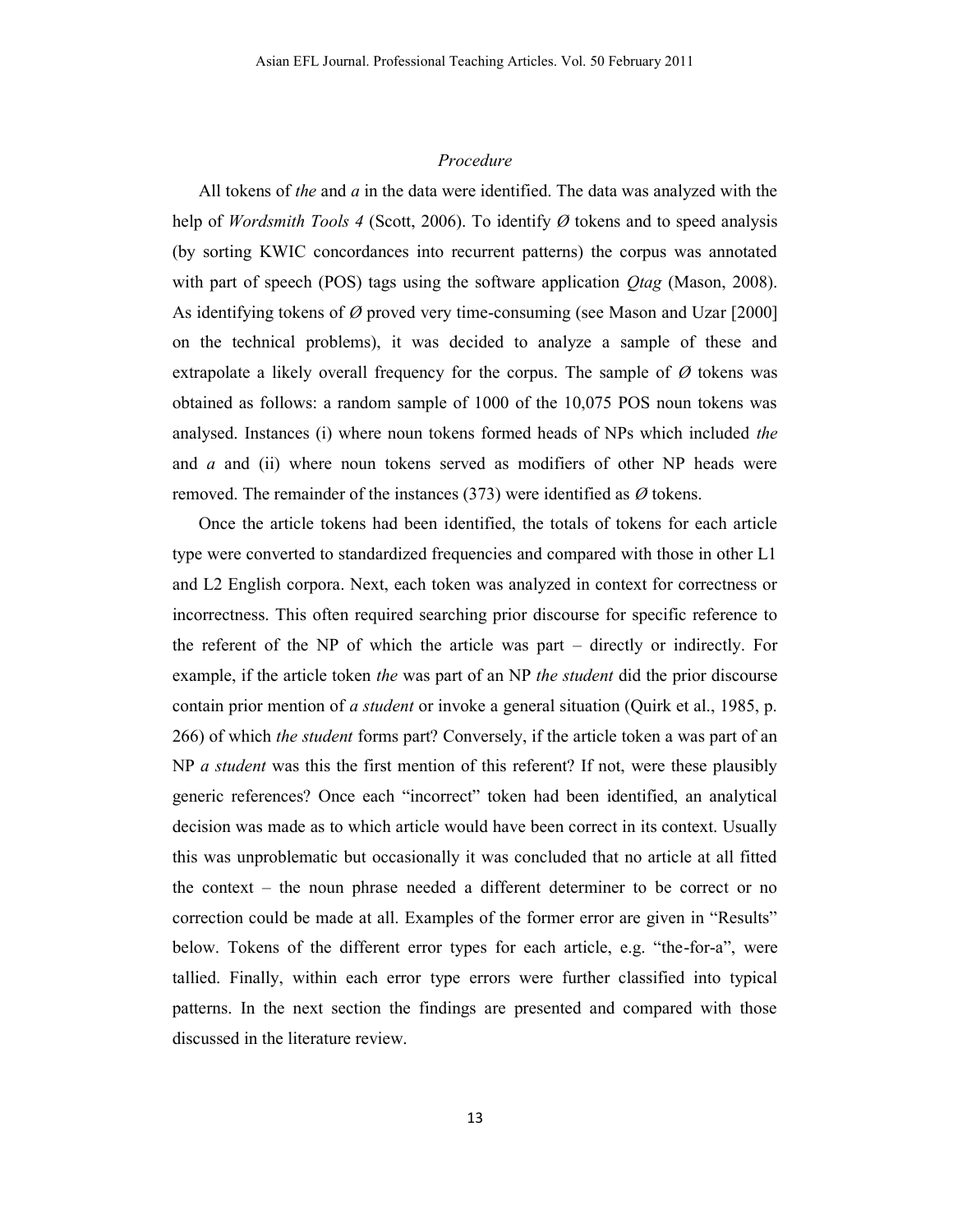#### *Procedure*

All tokens of *the* and *a* in the data were identified. The data was analyzed with the help of *Wordsmith Tools 4* (Scott, 2006). To identify *Ø* tokens and to speed analysis (by sorting KWIC concordances into recurrent patterns) the corpus was annotated with part of speech (POS) tags using the software application *Qtag* (Mason, 2008). As identifying tokens of *Ø* proved very time-consuming (see Mason and Uzar [2000] on the technical problems), it was decided to analyze a sample of these and extrapolate a likely overall frequency for the corpus. The sample of  $\varnothing$  tokens was obtained as follows: a random sample of 1000 of the 10,075 POS noun tokens was analysed. Instances (i) where noun tokens formed heads of NPs which included *the* and *a* and (ii) where noun tokens served as modifiers of other NP heads were removed. The remainder of the instances (373) were identified as *Ø* tokens.

Once the article tokens had been identified, the totals of tokens for each article type were converted to standardized frequencies and compared with those in other L1 and L2 English corpora. Next, each token was analyzed in context for correctness or incorrectness. This often required searching prior discourse for specific reference to the referent of the NP of which the article was part – directly or indirectly. For example, if the article token *the* was part of an NP *the student* did the prior discourse contain prior mention of *a student* or invoke a general situation (Quirk et al., 1985, p. 266) of which *the student* forms part? Conversely, if the article token a was part of an NP *a student* was this the first mention of this referent? If not, were these plausibly generic references? Once each "incorrect" token had been identified, an analytical decision was made as to which article would have been correct in its context. Usually this was unproblematic but occasionally it was concluded that no article at all fitted the context – the noun phrase needed a different determiner to be correct or no correction could be made at all. Examples of the former error are given in "Results" below. Tokens of the different error types for each article, e.g. "the-for-a", were tallied. Finally, within each error type errors were further classified into typical patterns. In the next section the findings are presented and compared with those discussed in the literature review.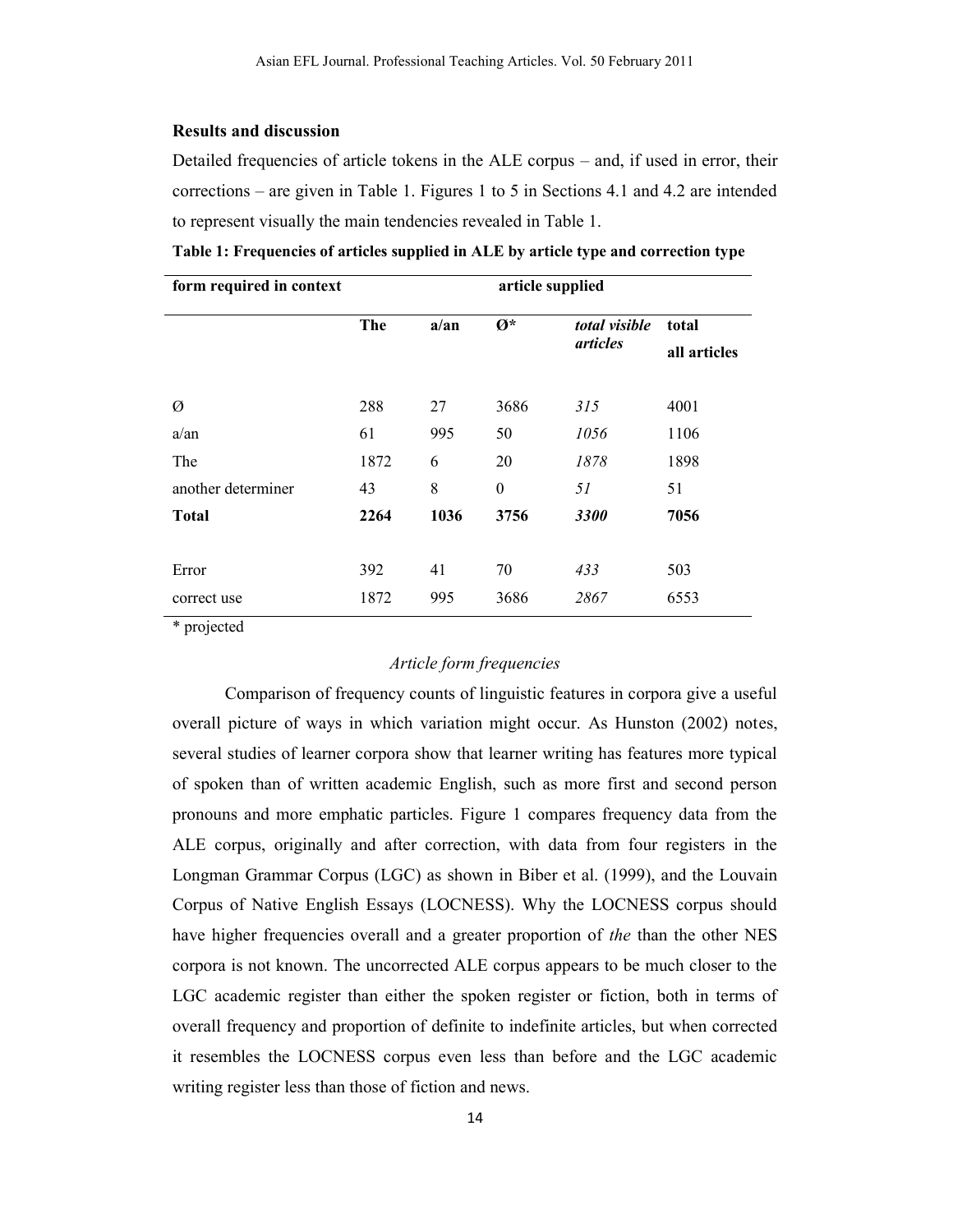### **Results and discussion**

Detailed frequencies of article tokens in the ALE corpus – and, if used in error, their corrections – are given in Table 1. Figures 1 to 5 in Sections 4.1 and 4.2 are intended to represent visually the main tendencies revealed in Table 1.

| form required in context |            |      |                        |               |              |  |
|--------------------------|------------|------|------------------------|---------------|--------------|--|
|                          | <b>The</b> | a/an | $\mathbf{\emptyset}^*$ | total visible | total        |  |
|                          |            |      |                        | articles      | all articles |  |
|                          |            |      |                        |               |              |  |
| Ø                        | 288        | 27   | 3686                   | 315           | 4001         |  |
| $a$ /an                  | 61         | 995  | 50                     | 1056          | 1106         |  |
| The                      | 1872       | 6    | 20                     | 1878          | 1898         |  |
| another determiner       | 43         | 8    | $\boldsymbol{0}$       | 51            | 51           |  |
| <b>Total</b>             | 2264       | 1036 | 3756                   | 3300          | 7056         |  |
|                          |            |      |                        |               |              |  |
| Error                    | 392        | 41   | 70                     | 433           | 503          |  |
| correct use              | 1872       | 995  | 3686                   | 2867          | 6553         |  |

**Table 1: Frequencies of articles supplied in ALE by article type and correction type**

\* projected

# *Article form frequencies*

Comparison of frequency counts of linguistic features in corpora give a useful overall picture of ways in which variation might occur. As Hunston (2002) notes, several studies of learner corpora show that learner writing has features more typical of spoken than of written academic English, such as more first and second person pronouns and more emphatic particles. Figure 1 compares frequency data from the ALE corpus, originally and after correction, with data from four registers in the Longman Grammar Corpus (LGC) as shown in Biber et al. (1999), and the Louvain Corpus of Native English Essays (LOCNESS). Why the LOCNESS corpus should have higher frequencies overall and a greater proportion of *the* than the other NES corpora is not known. The uncorrected ALE corpus appears to be much closer to the LGC academic register than either the spoken register or fiction, both in terms of overall frequency and proportion of definite to indefinite articles, but when corrected it resembles the LOCNESS corpus even less than before and the LGC academic writing register less than those of fiction and news.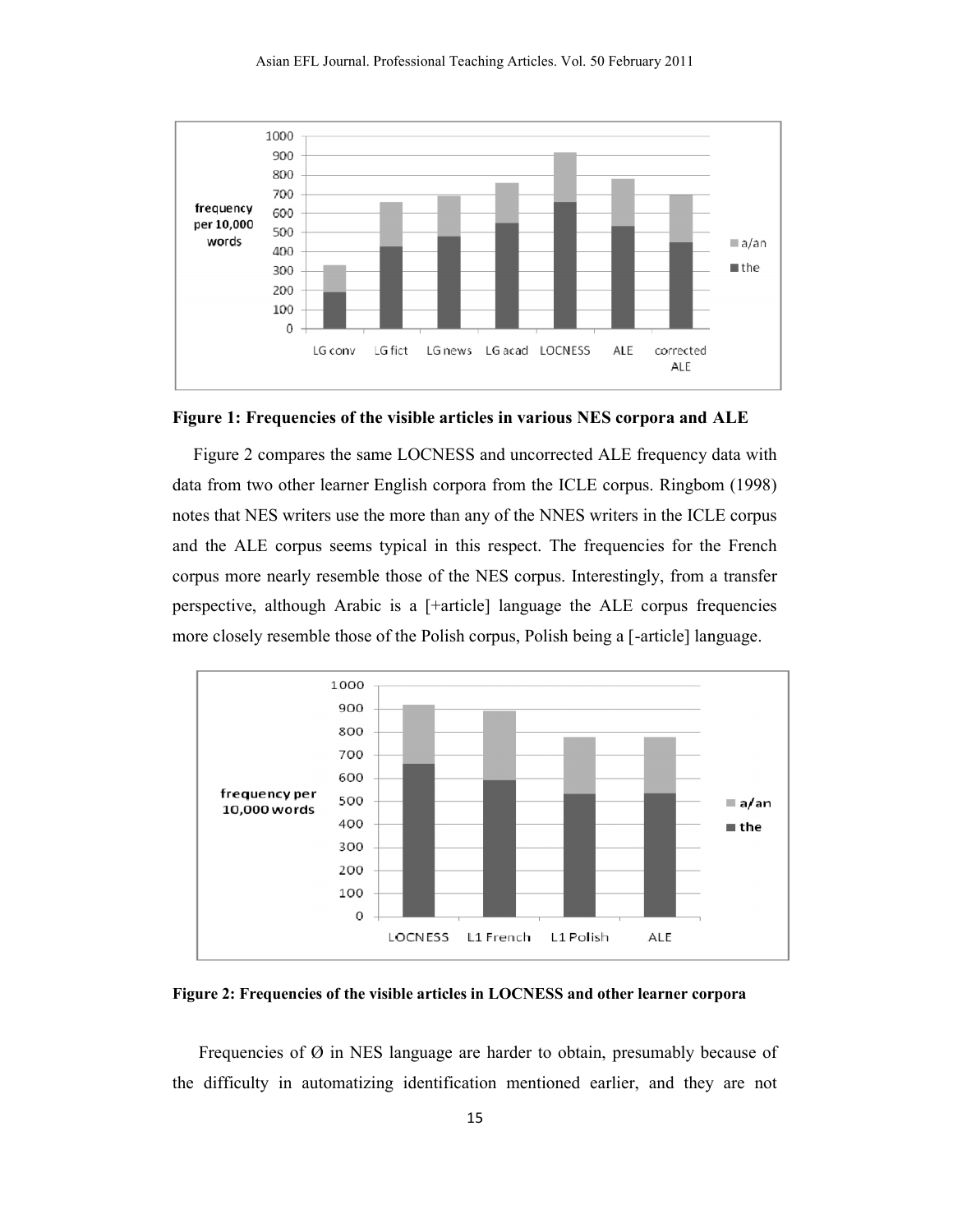

**Figure 1: Frequencies of the visible articles in various NES corpora and ALE** 

Figure 2 compares the same LOCNESS and uncorrected ALE frequency data with data from two other learner English corpora from the ICLE corpus. Ringbom (1998) notes that NES writers use the more than any of the NNES writers in the ICLE corpus and the ALE corpus seems typical in this respect. The frequencies for the French corpus more nearly resemble those of the NES corpus. Interestingly, from a transfer perspective, although Arabic is a [+article] language the ALE corpus frequencies more closely resemble those of the Polish corpus, Polish being a [-article] language.



**Figure 2: Frequencies of the visible articles in LOCNESS and other learner corpora**

Frequencies of  $\emptyset$  in NES language are harder to obtain, presumably because of the difficulty in automatizing identification mentioned earlier, and they are not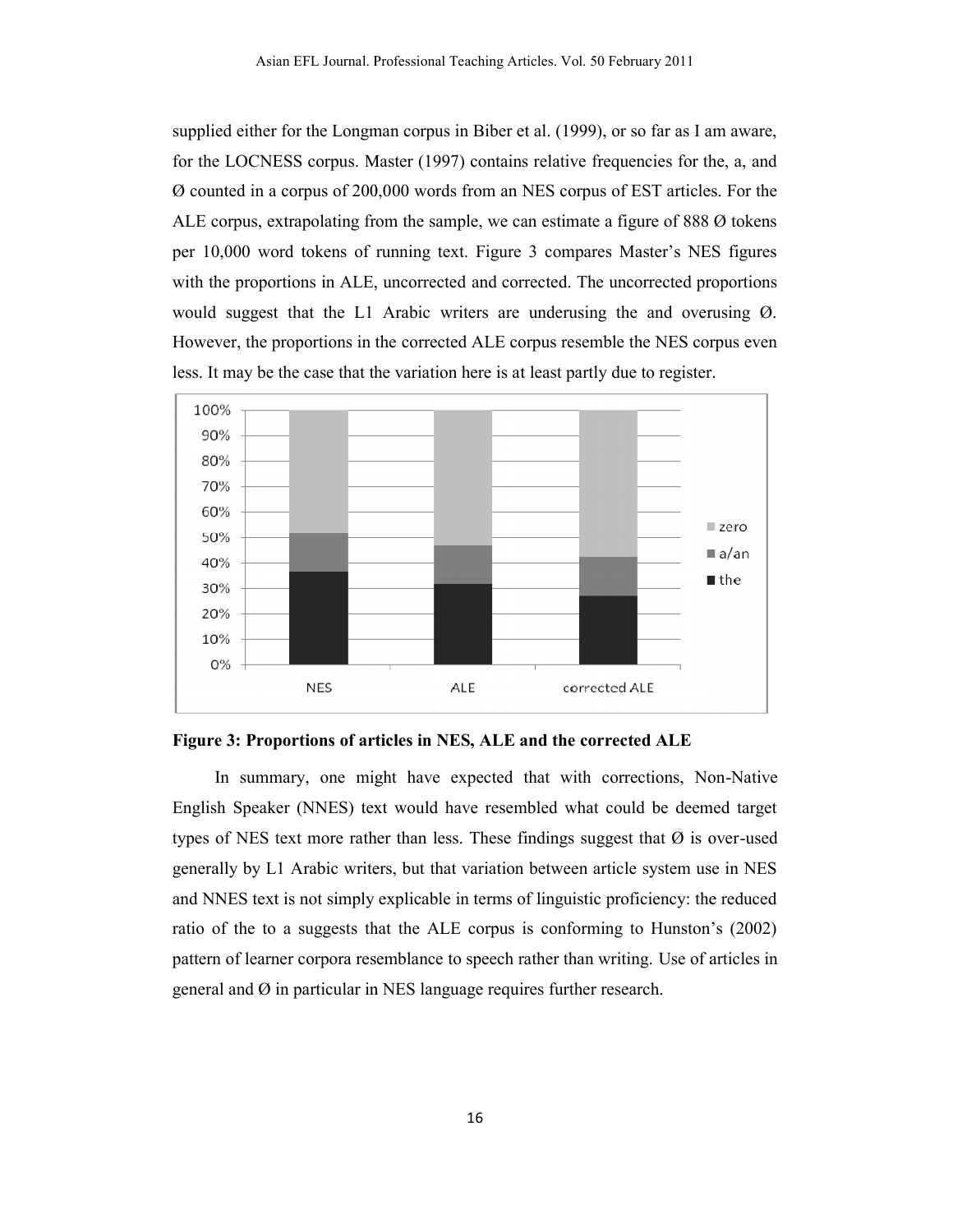supplied either for the Longman corpus in Biber et al. (1999), or so far as I am aware, for the LOCNESS corpus. Master (1997) contains relative frequencies for the, a, and Ø counted in a corpus of 200,000 words from an NES corpus of EST articles. For the ALE corpus, extrapolating from the sample, we can estimate a figure of 888  $\varnothing$  tokens per 10,000 word tokens of running text. Figure 3 compares Master's NES figures with the proportions in ALE, uncorrected and corrected. The uncorrected proportions with the proportions in ALE, uncorrected and corrected. The uncorrected proportions would suggest that the L1 Arabic writers are underusing the and overusing  $\emptyset$ . However, the proportions in the corrected ALE corpus resemble the NES corpus even However, the proportions in the corrected ALE corpus resemble the NES corrected.<br>It may be the case that the variation here is at least partly due to register.





In summary, one might have expected that with corrections, Non-Native English Speaker (NNES) text would have resembled what could be deemed target types of NES text more rather than less. These findings suggest that  $\varnothing$  is over-used types of NES text more rather than less. These findings suggest that  $\emptyset$  is over-used<br>generally by L1 Arabic writers, but that variation between article system use in NES and NNES text is not simply explicable in terms of linguistic proficiency: the reduced ratio of the to a suggests that the ALE corpus is conforming to Hunston's (2002) pattern of learner corpora resemblance to speech rather than writing. Use of articles in general and Ø in particular in NES language requires further research. that the ALE corpus is conforming to Hunston's<br>esemblance to speech rather than writing. Use of art<br>in NES language requires further research.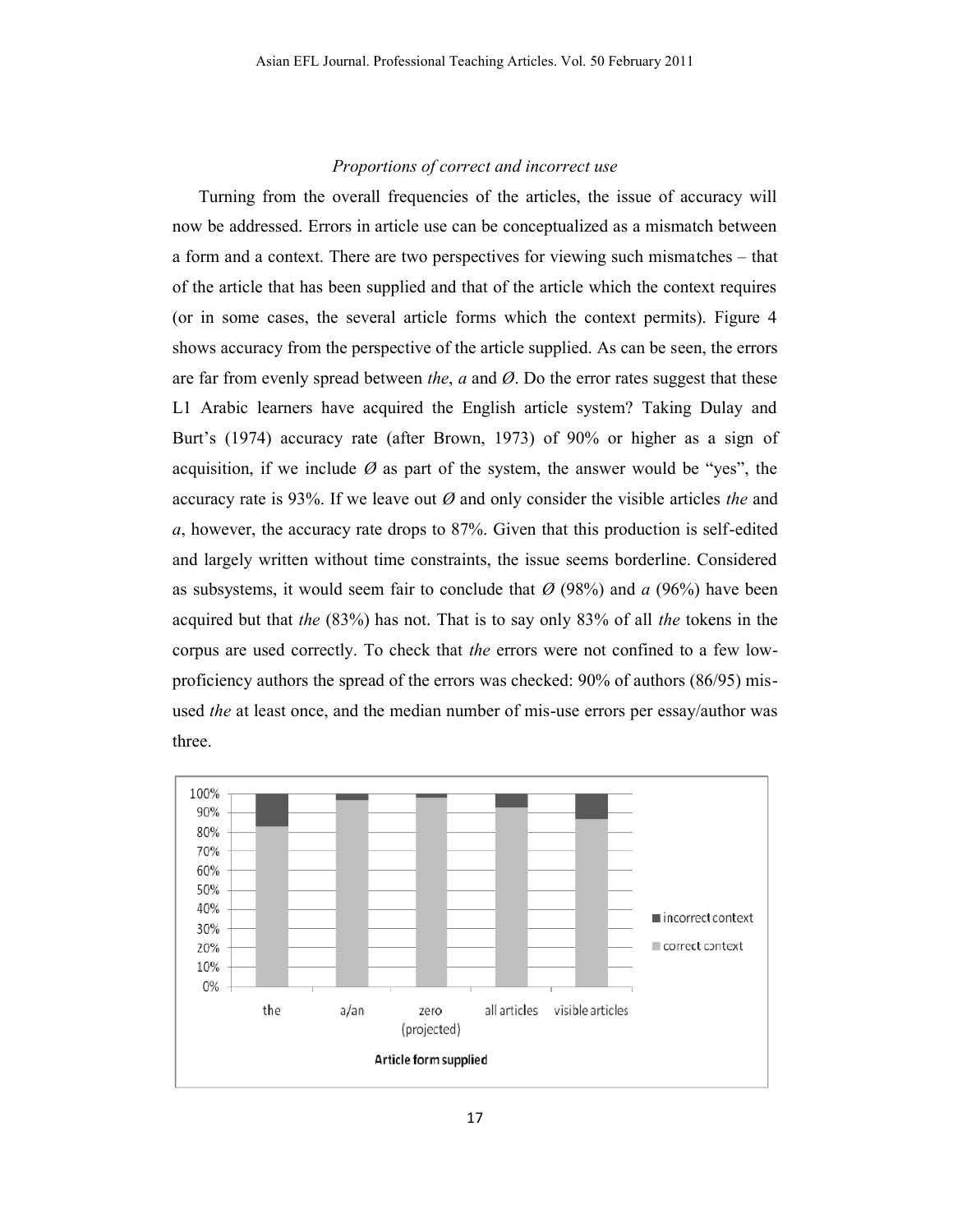### **Proportions of correct and incorrect use**

Turning from the overall frequencies of the articles, the issue of accuracy will now be addressed. Errors in article use can be conceptualized as a mismatch between a form and a context. There are two perspectives for viewing such mismatches – that of the article that has been supplied and that of the article which the context requires (or in some cases, the several article forms which the context permits). Figure 4 shows accuracy from the perspective of the article supplied. As can be seen, the errors are far from evenly spread between *the*, *a* and *Ø*. Do the error rates suggest that these L1 Arabic learners have acquired the English article system? Taking Dulay and Burt's (1974) accuracy rate (after Brown, 1973) of 90% or higher as a sign of acquisition, if we include  $\varnothing$  as part of the system, the answer would be "yes", the accuracy rate is 93%. If we leave out  $\emptyset$  and only consider the visible articles *the* and *a*, however, the accuracy rate drops to 87%. Given that this production is self-edited and largely written without time constraints, the issue seems borderline. Considered and largely written without time constraints, the issue seems borderline. Considered as subsystems, it would seem fair to conclude that  $\varnothing$  (98%) and  $a$  (96%) have been acquired but that *the* (83%) has not. That is to say only 83% of all *the* tokens in the corpus are used correctly. To check that *the* errors were not confined to a few lowproficiency authors the spread of the errors was checked: 90% of authors (86/95) misused *the* at least once, and the median number of mis-use errors per essay/author was three. and a context. There are two perspectives for viewing such mismatches – that urticle that has been supplied and that of the article which the context requires some cases, the several article forms which the context permit but that *the* (83%) has not. That is to say only 83% of all *the* tokens in the<br>re used correctly. To check that *the* errors were not confined to a few low-<br>cy authors the spread of the errors was checked: 90% of authors Asian EFL Journal. Professional Teaching Articles. Vol. 50 Februar<br> *Proportions of correct and incorrect use*<br>
Turning from the overall frequencies of the articles, the issue<br>
now be addressed. Errors in article use can

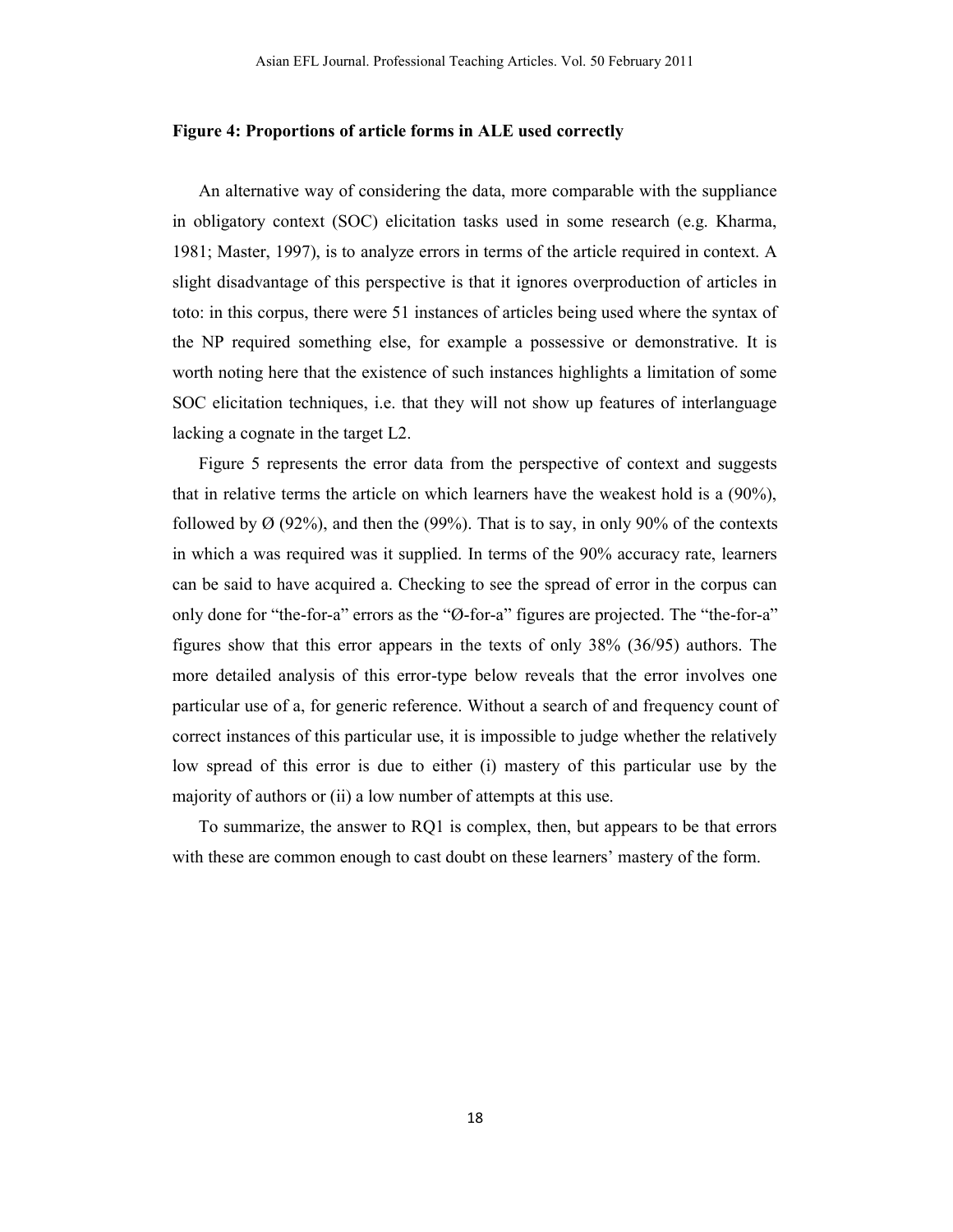#### **Figure 4: Proportions of article forms in ALE used correctly**

An alternative way of considering the data, more comparable with the suppliance in obligatory context (SOC) elicitation tasks used in some research (e.g. Kharma, 1981; Master, 1997), is to analyze errors in terms of the article required in context. A slight disadvantage of this perspective is that it ignores overproduction of articles in toto: in this corpus, there were 51 instances of articles being used where the syntax of the NP required something else, for example a possessive or demonstrative. It is worth noting here that the existence of such instances highlights a limitation of some SOC elicitation techniques, i.e. that they will not show up features of interlanguage lacking a cognate in the target L2.

Figure 5 represents the error data from the perspective of context and suggests that in relative terms the article on which learners have the weakest hold is a (90%), followed by  $\varnothing$  (92%), and then the (99%). That is to say, in only 90% of the contexts in which a was required was it supplied. In terms of the 90% accuracy rate, learners can be said to have acquired a. Checking to see the spread of error in the corpus can only done for "the-for-a" errors as the "Ø-for-a" figures are projected. The "the-for-a" figures show that this error appears in the texts of only 38% (36/95) authors. The more detailed analysis of this error-type below reveals that the error involves one particular use of a, for generic reference. Without a search of and frequency count of correct instances of this particular use, it is impossible to judge whether the relatively low spread of this error is due to either (i) mastery of this particular use by the majority of authors or (ii) a low number of attempts at this use.

To summarize, the answer to RQ1 is complex, then, but appears to be that errors with these are common enough to cast doubt on these learners' mastery of the form.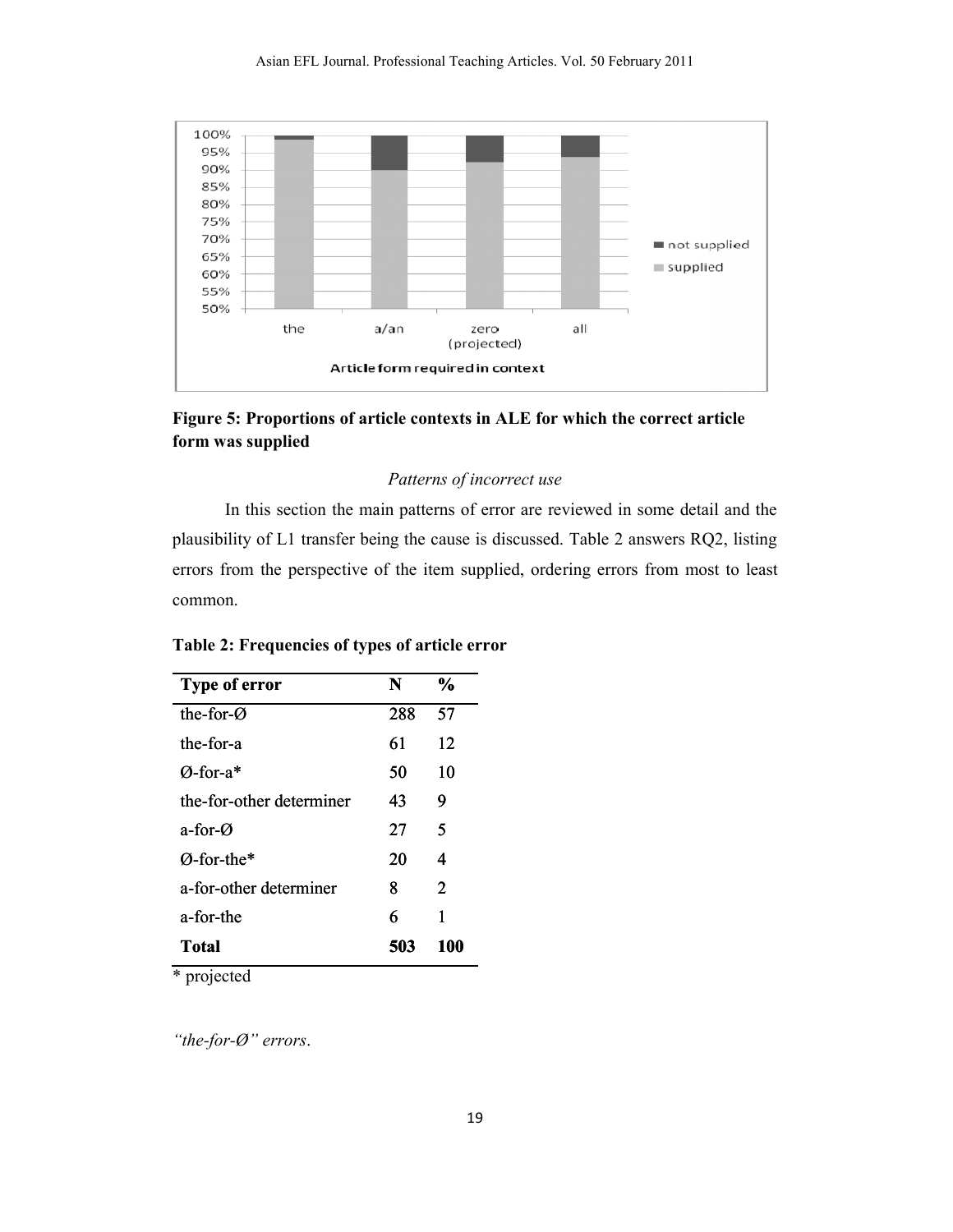

Figure 5: Proportions of article contexts in ALE for which the correct article<br>form was supplied **form was supplied**

### **Patterns of incorrect use**

In this section the main patterns of error are reviewed in some detail and the plausibility of L1 transfer being the cause is discussed. Table 2 answers RQ2, listing errors from the perspective of the item supplied, ordering errors from most to least common.

| <b>Type of error</b>     | N   | $\frac{6}{9}$               |
|--------------------------|-----|-----------------------------|
| the-for- $\varnothing$   | 288 | 57                          |
| the-for-a                | 61  | 12                          |
| $\varnothing$ -for-a*    | 50  | 10                          |
| the-for-other determiner | 43  | 9                           |
| a-for- $\alpha$          | 27  | 5                           |
| $\varnothing$ -for-the*  | 20  | 4                           |
| a-for-other determiner   | 8   | $\mathcal{D}_{\mathcal{L}}$ |
| a-for-the                | 6   | 1                           |
| Total                    | 503 | 100                         |

\* projected

*"the-for-Ø" errors*.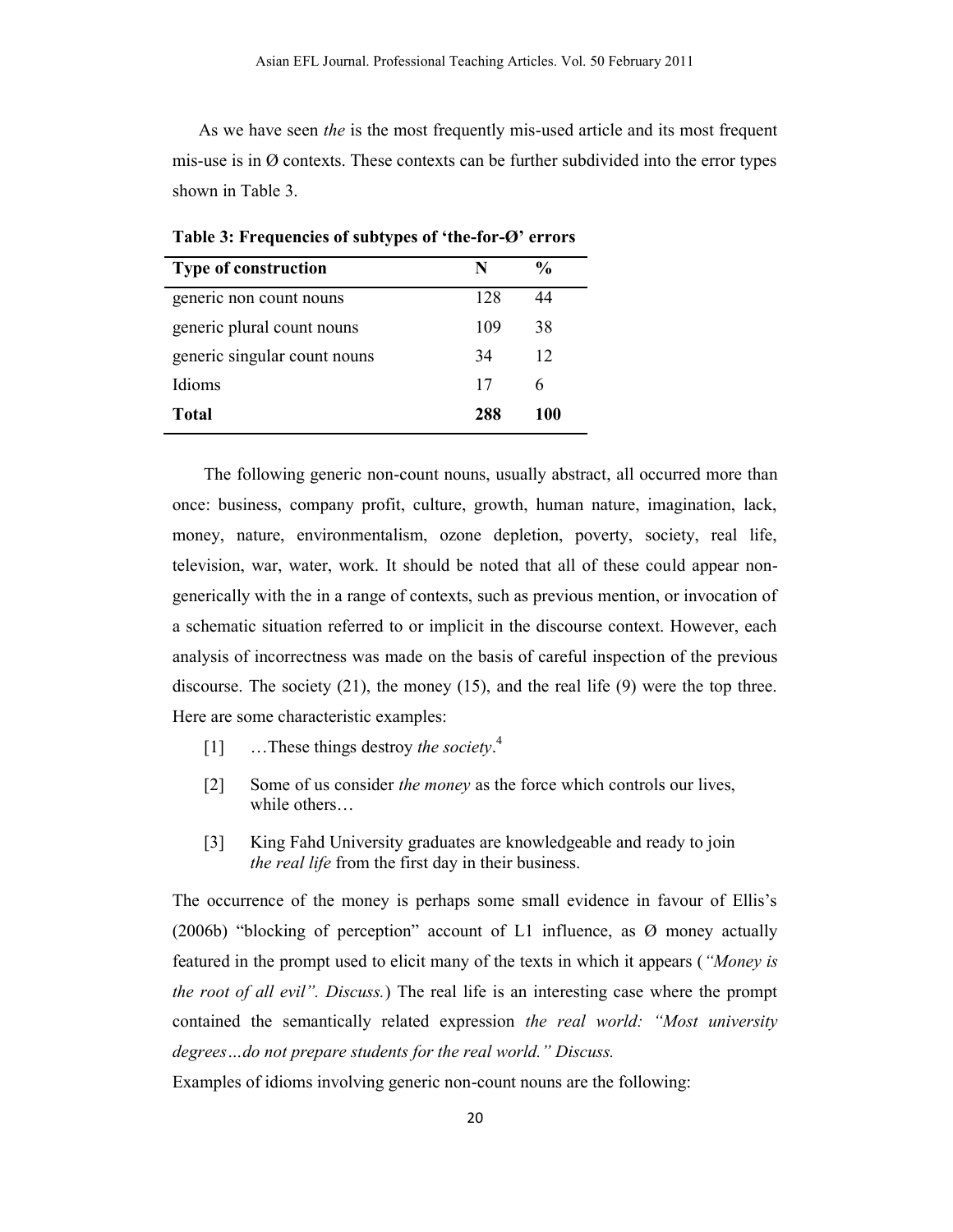As we have seen *the* is the most frequently mis-used article and its most frequent mis-use is in  $\emptyset$  contexts. These contexts can be further subdivided into the error types shown in Table 3.

| <b>Type of construction</b>  | N   | $\frac{0}{0}$ |
|------------------------------|-----|---------------|
| generic non count nouns      | 128 | 44            |
| generic plural count nouns   | 109 | 38            |
| generic singular count nouns | 34  | 12            |
| Idioms                       | 17  | 6             |
| Total                        | 288 | 100           |

**Table 3: Frequencies of subtypes of 'the-for-Ø' errors**

The following generic non-count nouns, usually abstract, all occurred more than once: business, company profit, culture, growth, human nature, imagination, lack, money, nature, environmentalism, ozone depletion, poverty, society, real life, television, war, water, work. It should be noted that all of these could appear nongenerically with the in a range of contexts, such as previous mention, or invocation of a schematic situation referred to or implicit in the discourse context. However, each analysis of incorrectness was made on the basis of careful inspection of the previous discourse. The society  $(21)$ , the money  $(15)$ , and the real life  $(9)$  were the top three. Here are some characteristic examples:

- [1] …These things destroy *the society*. 4
- [2] Some of us consider *the money* as the force which controls our lives, while others…
- [3] King Fahd University graduates are knowledgeable and ready to join *the real life* from the first day in their business.

The occurrence of the money is perhaps some small evidence in favour of Ellis's (2006b) "blocking of perception" account of L1 influence, as Ø money actually featured in the prompt used to elicit many of the texts in which it appears (*"Money is the root of all evil". Discuss.*) The real life is an interesting case where the prompt contained the semantically related expression *the real world: "Most university degrees…do not prepare students for the real world." Discuss.*

Examples of idioms involving generic non-count nouns are the following: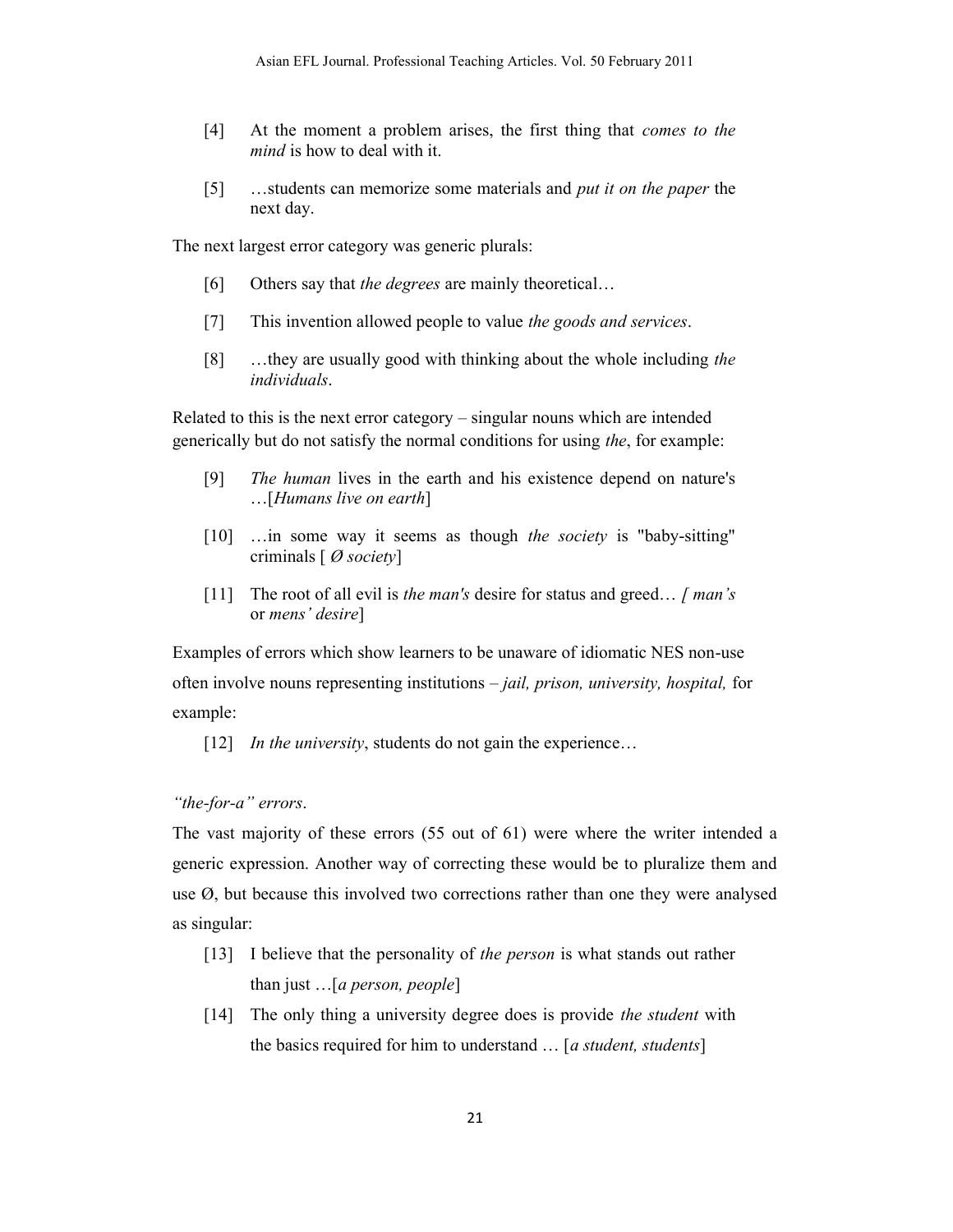- [4] At the moment a problem arises, the first thing that *comes to the mind* is how to deal with it.
- [5] …students can memorize some materials and *put it on the paper* the next day.

The next largest error category was generic plurals:

- [6] Others say that *the degrees* are mainly theoretical…
- [7] This invention allowed people to value *the goods and services*.
- [8] …they are usually good with thinking about the whole including *the individuals*.

Related to this is the next error category – singular nouns which are intended generically but do not satisfy the normal conditions for using *the*, for example:

- [9] *The human* lives in the earth and his existence depend on nature's …[*Humans live on earth*]
- [10] …in some way it seems as though *the society* is "baby-sitting" criminals [ *Ø society*]
- [11] The root of all evil is *the man's* desire for status and greed… *[ man's* or *mens' desire*]

Examples of errors which show learners to be unaware of idiomatic NES non-use often involve nouns representing institutions – *jail, prison, university, hospital,* for example:

[12] *In the university*, students do not gain the experience...

### *"the-for-a" errors*.

The vast majority of these errors (55 out of 61) were where the writer intended a generic expression. Another way of correcting these would be to pluralize them and use Ø, but because this involved two corrections rather than one they were analysed as singular:

- [13] I believe that the personality of *the person* is what stands out rather than just …[*a person, people*]
- [14] The only thing a university degree does is provide *the student* with the basics required for him to understand … [*a student, students*]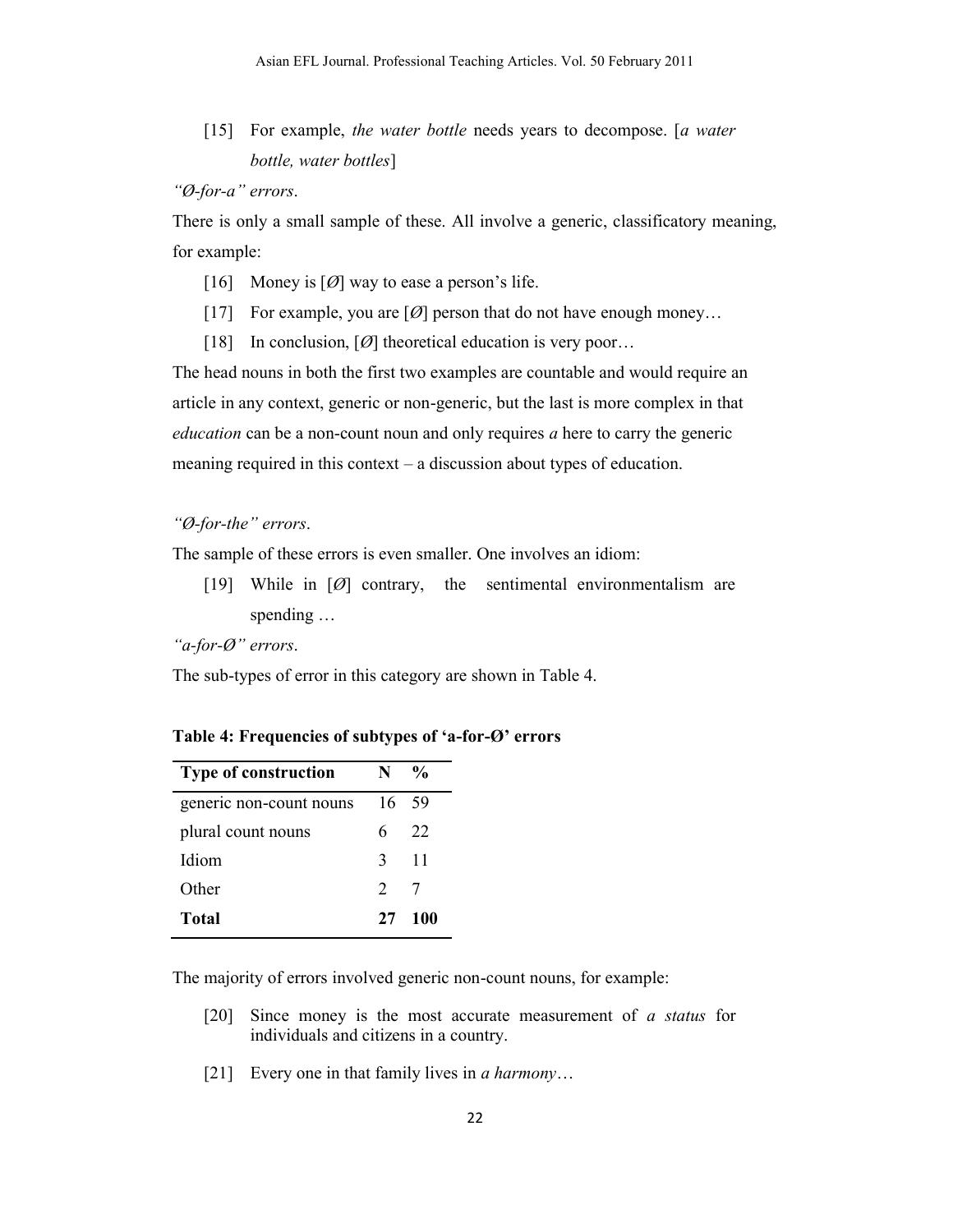[15] For example, *the water bottle* needs years to decompose. [*a water bottle, water bottles*]

*"Ø-for-a" errors*.

There is only a small sample of these. All involve a generic, classificatory meaning, for example:

- [16] Money is  $[Ø]$  way to ease a person's life.
- [17] For example, you are  $[Ø]$  person that do not have enough money...
- [18] In conclusion,  $[Ø]$  theoretical education is very poor...

The head nouns in both the first two examples are countable and would require an article in any context, generic or non-generic, but the last is more complex in that *education* can be a non-count noun and only requires *a* here to carry the generic meaning required in this context – a discussion about types of education.

# *"Ø-for-the" errors*.

The sample of these errors is even smaller. One involves an idiom:

[19] While in [*Ø*] contrary, the sentimental environmentalism are spending …

*"a-for-Ø" errors*.

The sub-types of error in this category are shown in Table 4.

**Table 4: Frequencies of subtypes of 'a-for-Ø' errors**

| <b>Type of construction</b> | N                           | $\frac{0}{\alpha}$ |
|-----------------------------|-----------------------------|--------------------|
| generic non-count nouns     | 16                          | -59                |
| plural count nouns          | 6                           | 22                 |
| Idiom                       | 3                           | -11                |
| Other                       | $\mathcal{D}_{\mathcal{L}}$ | 7                  |
| <b>Total</b>                | 27                          | -100               |

The majority of errors involved generic non-count nouns, for example:

- [20] Since money is the most accurate measurement of *a status* for individuals and citizens in a country.
- [21] Every one in that family lives in *a harmony*…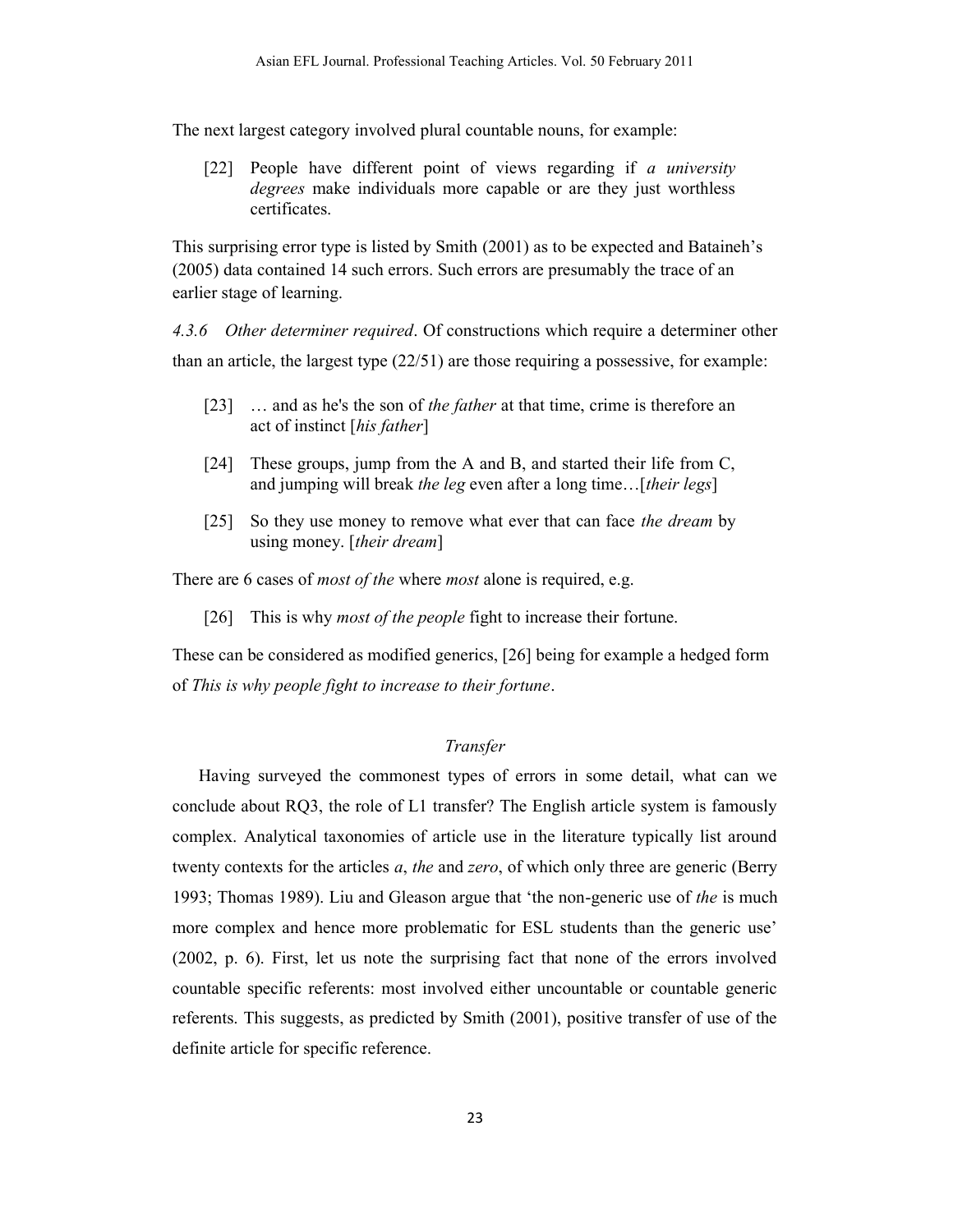The next largest category involved plural countable nouns, for example:

[22] People have different point of views regarding if *a university degrees* make individuals more capable or are they just worthless certificates.

This surprising error type is listed by Smith (2001) as to be expected and Bataineh's (2005) data contained 14 such errors. Such errors are presumably the trace of an earlier stage of learning.

*4.3.6 Other determiner required*. Of constructions which require a determiner other than an article, the largest type  $(22/51)$  are those requiring a possessive, for example:

- [23] … and as he's the son of *the father* at that time, crime is therefore an act of instinct [*his father*]
- [24] These groups, jump from the A and B, and started their life from C, and jumping will break *the leg* even after a long time…[*their legs*]
- [25] So they use money to remove what ever that can face *the dream* by using money. [*their dream*]

There are 6 cases of *most of the* where *most* alone is required, e.g.

[26] This is why *most of the people* fight to increase their fortune.

These can be considered as modified generics, [26] being for example a hedged form of *This is why people fight to increase to their fortune*.

# *Transfer*

Having surveyed the commonest types of errors in some detail, what can we conclude about RQ3, the role of L1 transfer? The English article system is famously complex. Analytical taxonomies of article use in the literature typically list around twenty contexts for the articles *a*, *the* and *zero*, of which only three are generic (Berry 1993; Thomas 1989). Liu and Gleason argue that 'the non-generic use of *the* is much more complex and hence more problematic for ESL students than the generic use' (2002, p. 6). First, let us note the surprising fact that none of the errors involved countable specific referents: most involved either uncountable or countable generic referents. This suggests, as predicted by Smith (2001), positive transfer of use of the definite article for specific reference.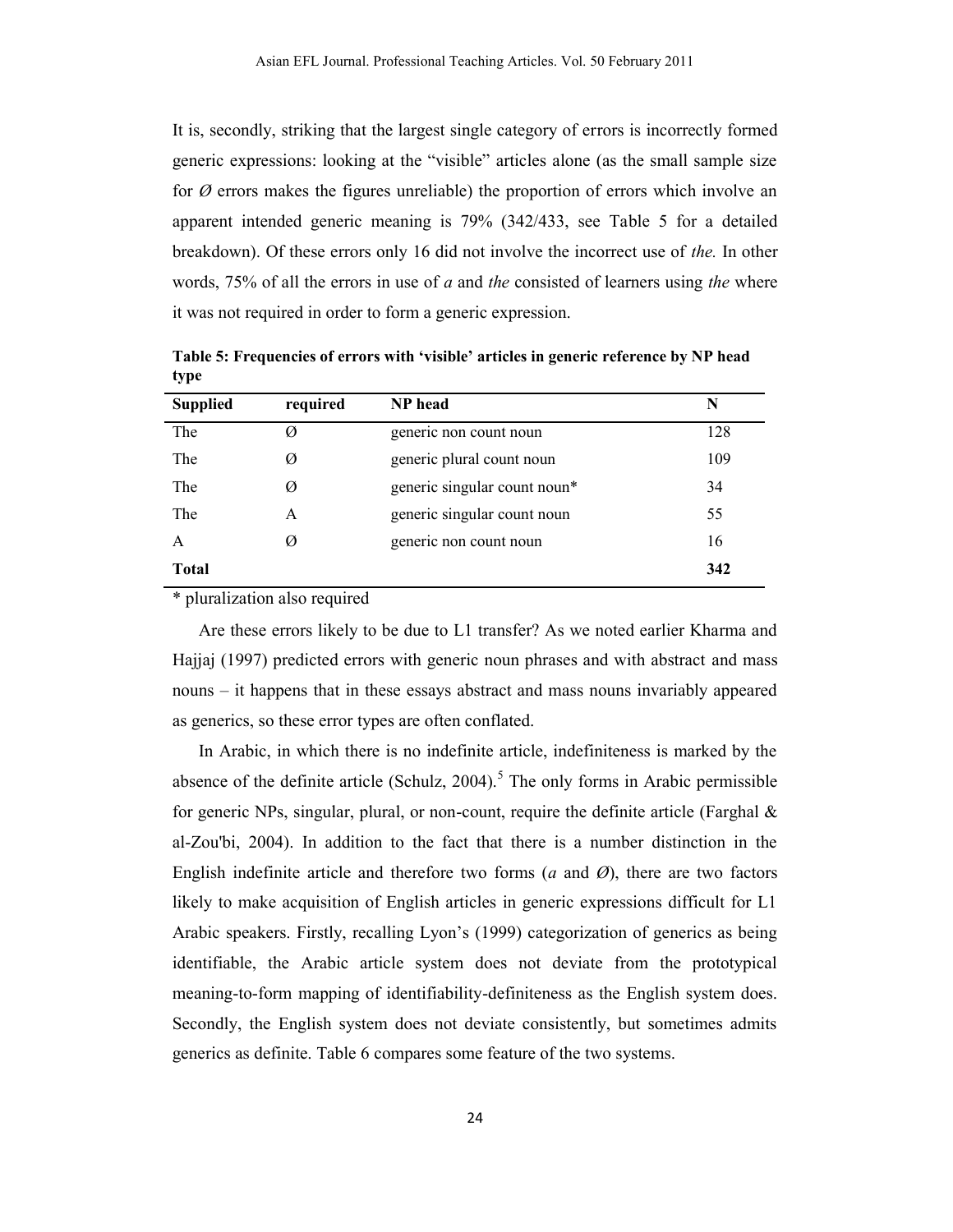It is, secondly, striking that the largest single category of errors is incorrectly formed generic expressions: looking at the "visible" articles alone (as the small sample size for *Ø* errors makes the figures unreliable) the proportion of errors which involve an apparent intended generic meaning is 79% (342/433, see Table 5 for a detailed breakdown). Of these errors only 16 did not involve the incorrect use of *the.* In other words, 75% of all the errors in use of *a* and *the* consisted of learners using *the* where it was not required in order to form a generic expression.

| <b>Supplied</b> | required | NP head                      | N   |
|-----------------|----------|------------------------------|-----|
| The             | Ø        | generic non count noun       | 128 |
| The             | Ø        | generic plural count noun    | 109 |
| The             | Ø        | generic singular count noun* | 34  |
| The             | A        | generic singular count noun  | 55  |
| A               | Ø        | generic non count noun       | 16  |
| <b>Total</b>    |          |                              | 342 |

**Table 5: Frequencies of errors with 'visible' articles in generic reference by NP head type**

\* pluralization also required

Are these errors likely to be due to L1 transfer? As we noted earlier Kharma and Hajjaj (1997) predicted errors with generic noun phrases and with abstract and mass nouns – it happens that in these essays abstract and mass nouns invariably appeared as generics, so these error types are often conflated.

In Arabic, in which there is no indefinite article, indefiniteness is marked by the absence of the definite article (Schulz,  $2004$ ).<sup>5</sup> The only forms in Arabic permissible for generic NPs, singular, plural, or non-count, require the definite article (Farghal & al-Zou'bi, 2004). In addition to the fact that there is a number distinction in the English indefinite article and therefore two forms  $(a \text{ and } \emptyset)$ , there are two factors likely to make acquisition of English articles in generic expressions difficult for L1 Arabic speakers. Firstly, recalling Lyon's (1999) categorization of generics as being identifiable, the Arabic article system does not deviate from the prototypical meaning-to-form mapping of identifiability-definiteness as the English system does. Secondly, the English system does not deviate consistently, but sometimes admits generics as definite. Table 6 compares some feature of the two systems.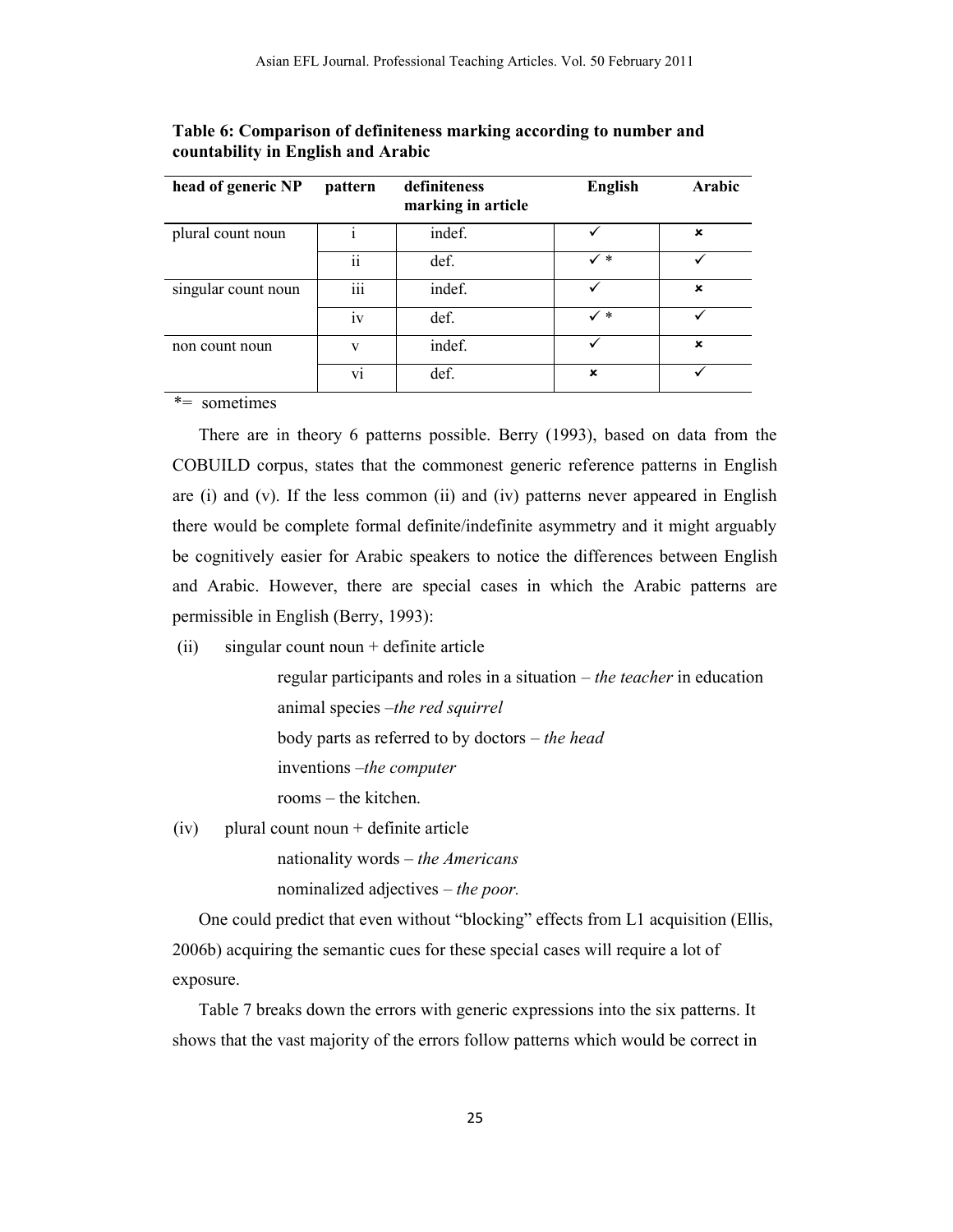| head of generic NP  | pattern                 | definiteness<br>marking in article | <b>English</b> | Arabic |
|---------------------|-------------------------|------------------------------------|----------------|--------|
| plural count noun   |                         | indef.                             |                | ×      |
|                     | $\overline{\mathbf{u}}$ | def.                               | $\checkmark$ * | ✓      |
| singular count noun | $\cdots$<br>111         | indef.                             |                | ×      |
|                     | 1V                      | def.                               | $\checkmark$ * |        |
| non count noun      | V                       | indef.                             |                | ×      |
|                     | V1                      | def.                               | ×              |        |

**Table 6: Comparison of definiteness marking according to number and countability in English and Arabic**

*\*=* sometimes

There are in theory 6 patterns possible. Berry (1993), based on data from the COBUILD corpus, states that the commonest generic reference patterns in English are (i) and (v). If the less common (ii) and (iv) patterns never appeared in English there would be complete formal definite/indefinite asymmetry and it might arguably be cognitively easier for Arabic speakers to notice the differences between English and Arabic. However, there are special cases in which the Arabic patterns are permissible in English (Berry, 1993):

(ii) singular count noun + definite article

regular participants and roles in a situation – *the teacher* in education animal species –*the red squirrel* body parts as referred to by doctors *– the head* inventions –*the computer*

rooms – the kitchen.

(iv) plural count noun + definite article

nationality words – *the Americans* nominalized adjectives – *the poor.*

One could predict that even without "blocking" effects from L1 acquisition (Ellis, 2006b) acquiring the semantic cues for these special cases will require a lot of exposure.

Table 7 breaks down the errors with generic expressions into the six patterns. It shows that the vast majority of the errors follow patterns which would be correct in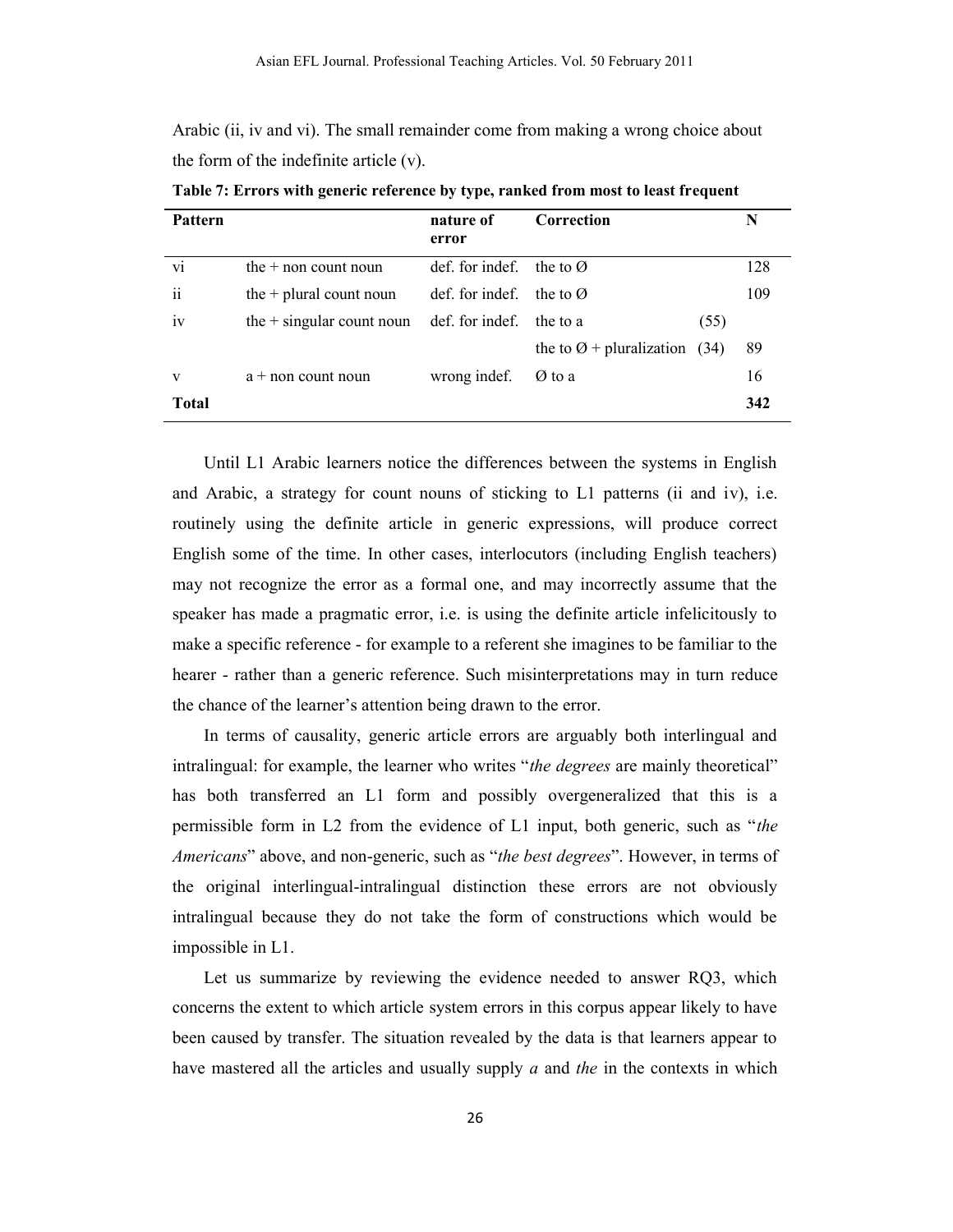Arabic (ii, iv and vi). The small remainder come from making a wrong choice about the form of the indefinite article (v).

| Pattern         |                             | nature of<br>error | Correction                                |      | N   |
|-----------------|-----------------------------|--------------------|-------------------------------------------|------|-----|
| vi              | the $+$ non count noun      | def. for indef.    | the to $\varnothing$                      |      | 128 |
| $\ddot{\rm ii}$ | the $+$ plural count noun   | def. for indef.    | the to $\varnothing$                      |      | 109 |
| iv              | the $+$ singular count noun | def. for indef.    | the to a                                  | (55) |     |
|                 |                             |                    | the to $\varnothing$ + pluralization (34) |      | 89  |
| v               | $a + non$ count noun        | wrong indef.       | Ø to a                                    |      | 16  |
| <b>Total</b>    |                             |                    |                                           |      | 342 |

**Table 7: Errors with generic reference by type, ranked from most to least frequent**

Until L1 Arabic learners notice the differences between the systems in English and Arabic, a strategy for count nouns of sticking to L1 patterns (ii and iv), i.e. routinely using the definite article in generic expressions, will produce correct English some of the time. In other cases, interlocutors (including English teachers) may not recognize the error as a formal one, and may incorrectly assume that the speaker has made a pragmatic error, i.e. is using the definite article infelicitously to make a specific reference - for example to a referent she imagines to be familiar to the hearer - rather than a generic reference. Such misinterpretations may in turn reduce the chance of the learner's attention being drawn to the error.

In terms of causality, generic article errors are arguably both interlingual and intralingual: for example, the learner who writes "*the degrees* are mainly theoretical" has both transferred an L1 form and possibly overgeneralized that this is a permissible form in L2 from the evidence of L1 input, both generic, such as "*the Americans*" above, and non-generic, such as "*the best degrees*". However, in terms of the original interlingual-intralingual distinction these errors are not obviously intralingual because they do not take the form of constructions which would be impossible in L1.

Let us summarize by reviewing the evidence needed to answer RQ3, which concerns the extent to which article system errors in this corpus appear likely to have been caused by transfer. The situation revealed by the data is that learners appear to have mastered all the articles and usually supply *a* and *the* in the contexts in which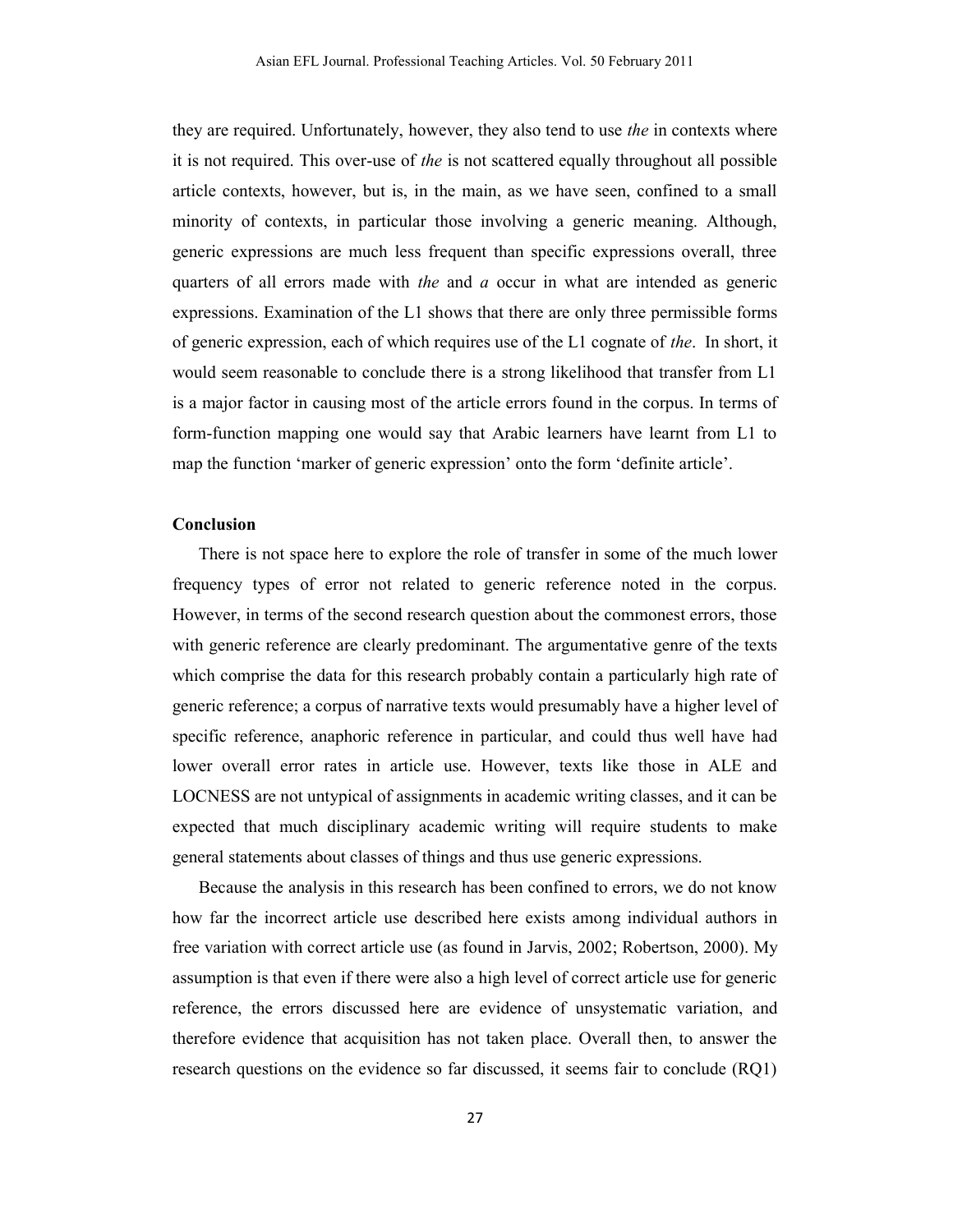they are required. Unfortunately, however, they also tend to use *the* in contexts where it is not required. This over-use of *the* is not scattered equally throughout all possible article contexts, however, but is, in the main, as we have seen, confined to a small minority of contexts, in particular those involving a generic meaning. Although, generic expressions are much less frequent than specific expressions overall, three quarters of all errors made with *the* and *a* occur in what are intended as generic expressions. Examination of the L1 shows that there are only three permissible forms of generic expression, each of which requires use of the L1 cognate of *the*. In short, it would seem reasonable to conclude there is a strong likelihood that transfer from L1 is a major factor in causing most of the article errors found in the corpus. In terms of form-function mapping one would say that Arabic learners have learnt from L1 to map the function 'marker of generic expression' onto the form 'definite article'.

#### **Conclusion**

There is not space here to explore the role of transfer in some of the much lower frequency types of error not related to generic reference noted in the corpus. However, in terms of the second research question about the commonest errors, those with generic reference are clearly predominant. The argumentative genre of the texts which comprise the data for this research probably contain a particularly high rate of generic reference; a corpus of narrative texts would presumably have a higher level of specific reference, anaphoric reference in particular, and could thus well have had lower overall error rates in article use. However, texts like those in ALE and LOCNESS are not untypical of assignments in academic writing classes, and it can be expected that much disciplinary academic writing will require students to make general statements about classes of things and thus use generic expressions.

Because the analysis in this research has been confined to errors, we do not know how far the incorrect article use described here exists among individual authors in free variation with correct article use (as found in Jarvis, 2002; Robertson, 2000). My assumption is that even if there were also a high level of correct article use for generic reference, the errors discussed here are evidence of unsystematic variation, and therefore evidence that acquisition has not taken place. Overall then, to answer the research questions on the evidence so far discussed, it seems fair to conclude (RQ1)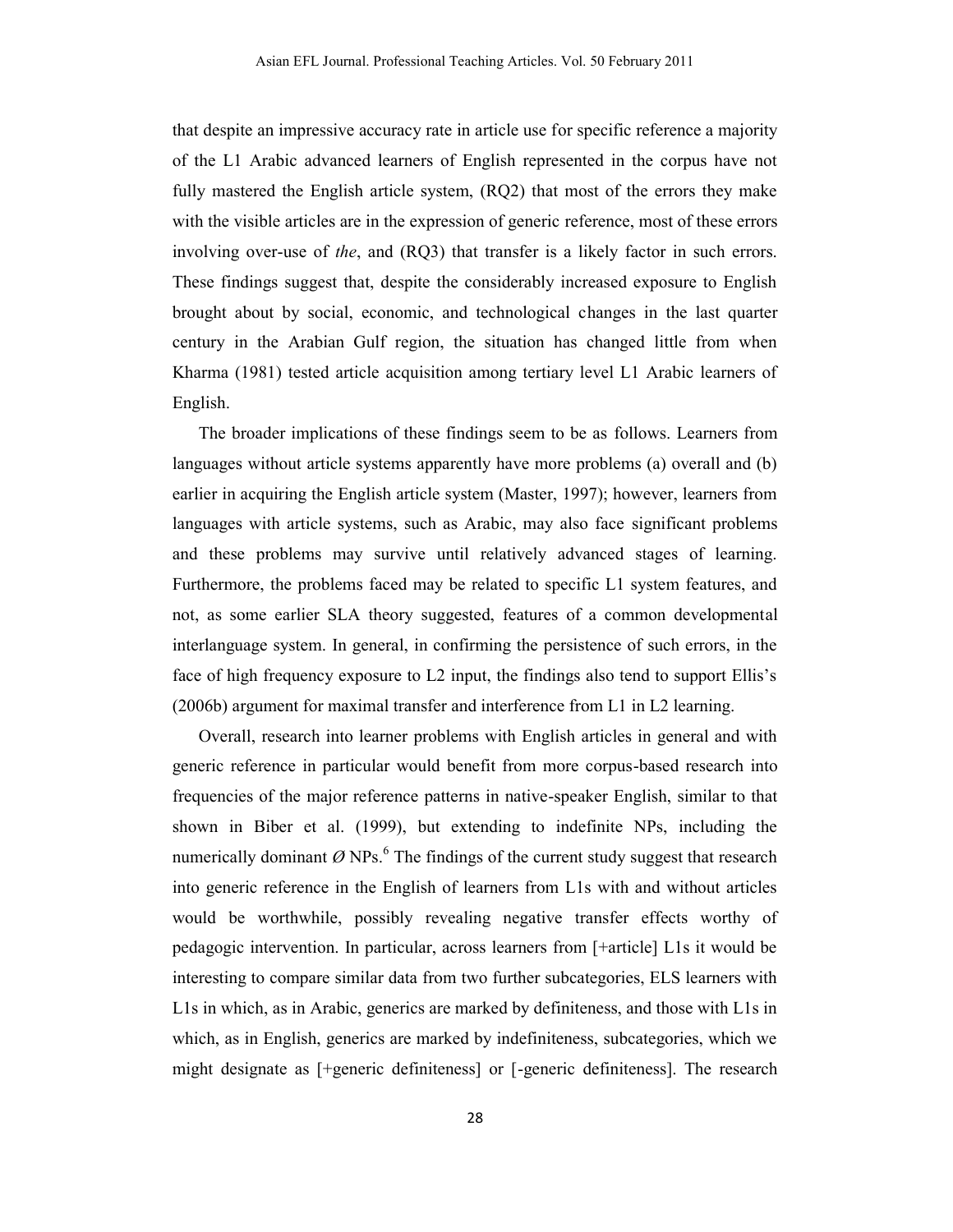that despite an impressive accuracy rate in article use for specific reference a majority of the L1 Arabic advanced learners of English represented in the corpus have not fully mastered the English article system, (RQ2) that most of the errors they make with the visible articles are in the expression of generic reference, most of these errors involving over-use of *the*, and (RQ3) that transfer is a likely factor in such errors. These findings suggest that, despite the considerably increased exposure to English brought about by social, economic, and technological changes in the last quarter century in the Arabian Gulf region, the situation has changed little from when Kharma (1981) tested article acquisition among tertiary level L1 Arabic learners of English.

The broader implications of these findings seem to be as follows. Learners from languages without article systems apparently have more problems (a) overall and (b) earlier in acquiring the English article system (Master, 1997); however, learners from languages with article systems, such as Arabic, may also face significant problems and these problems may survive until relatively advanced stages of learning. Furthermore, the problems faced may be related to specific L1 system features, and not, as some earlier SLA theory suggested, features of a common developmental interlanguage system. In general, in confirming the persistence of such errors, in the face of high frequency exposure to L2 input, the findings also tend to support Ellis's (2006b) argument for maximal transfer and interference from L1 in L2 learning.

Overall, research into learner problems with English articles in general and with generic reference in particular would benefit from more corpus-based research into frequencies of the major reference patterns in native-speaker English, similar to that shown in Biber et al. (1999), but extending to indefinite NPs, including the numerically dominant  $\varnothing$  NPs.<sup>6</sup> The findings of the current study suggest that research into generic reference in the English of learners from L1s with and without articles would be worthwhile, possibly revealing negative transfer effects worthy of pedagogic intervention. In particular, across learners from [+article] L1s it would be interesting to compare similar data from two further subcategories, ELS learners with L1s in which, as in Arabic, generics are marked by definiteness, and those with L1s in which, as in English, generics are marked by indefiniteness, subcategories, which we might designate as [+generic definiteness] or [-generic definiteness]. The research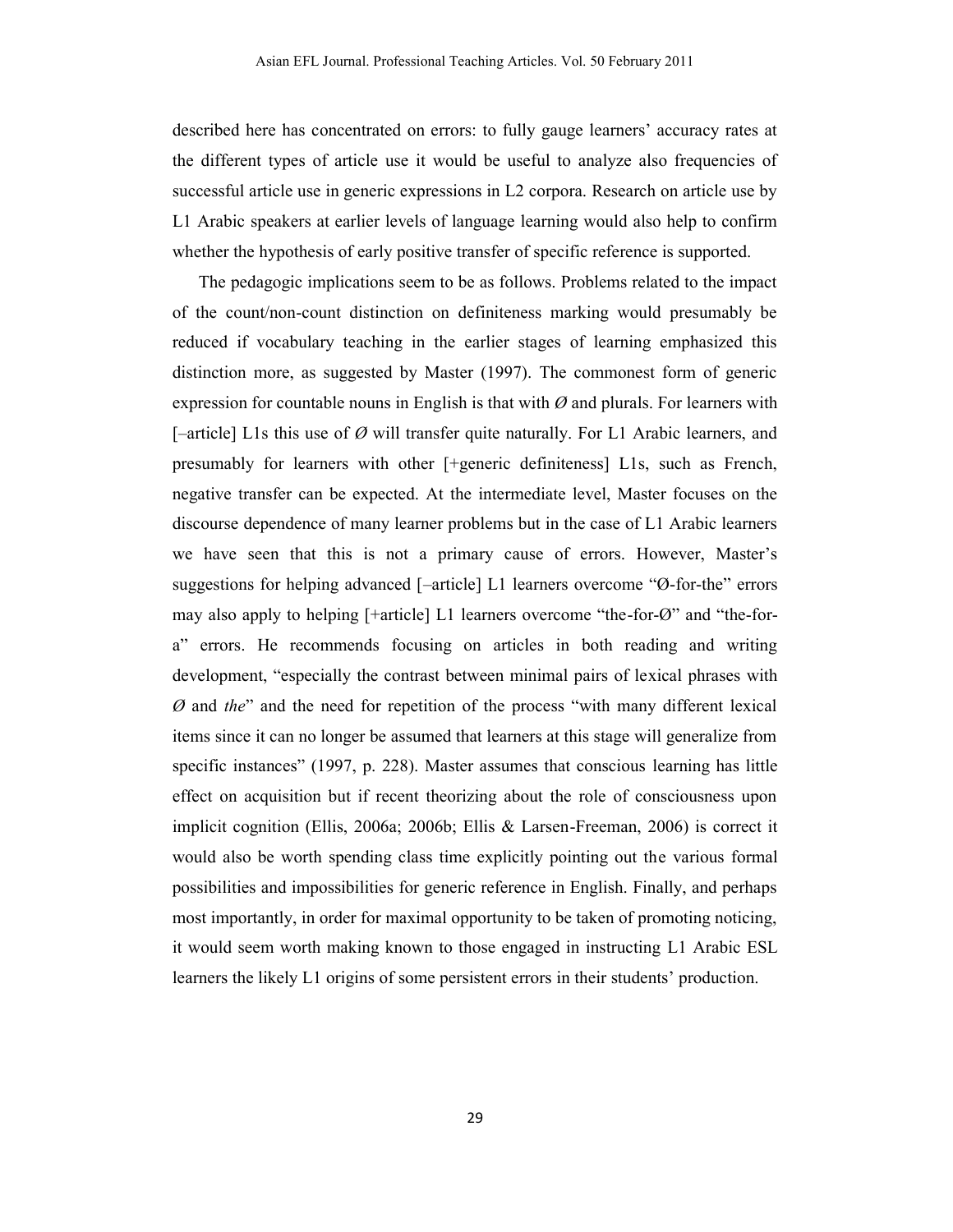described here has concentrated on errors: to fully gauge learners' accuracy rates at the different types of article use it would be useful to analyze also frequencies of successful article use in generic expressions in L2 corpora. Research on article use by L1 Arabic speakers at earlier levels of language learning would also help to confirm whether the hypothesis of early positive transfer of specific reference is supported.

The pedagogic implications seem to be as follows. Problems related to the impact of the count/non-count distinction on definiteness marking would presumably be reduced if vocabulary teaching in the earlier stages of learning emphasized this distinction more, as suggested by Master (1997). The commonest form of generic expression for countable nouns in English is that with *Ø* and plurals. For learners with [–article] L1s this use of *Ø* will transfer quite naturally. For L1 Arabic learners, and presumably for learners with other [+generic definiteness] L1s, such as French, negative transfer can be expected. At the intermediate level, Master focuses on the discourse dependence of many learner problems but in the case of L1 Arabic learners we have seen that this is not a primary cause of errors. However, Master's suggestions for helping advanced [–article] L1 learners overcome "Ø-for-the" errors may also apply to helping [+article] L1 learners overcome "the-for-Ø" and "the-fora" errors. He recommends focusing on articles in both reading and writing development, "especially the contrast between minimal pairs of lexical phrases with *Ø* and *the*" and the need for repetition of the process "with many different lexical items since it can no longer be assumed that learners at this stage will generalize from specific instances" (1997, p. 228). Master assumes that conscious learning has little effect on acquisition but if recent theorizing about the role of consciousness upon implicit cognition (Ellis, 2006a; 2006b; Ellis & Larsen-Freeman, 2006) is correct it would also be worth spending class time explicitly pointing out the various formal possibilities and impossibilities for generic reference in English. Finally, and perhaps most importantly, in order for maximal opportunity to be taken of promoting noticing, it would seem worth making known to those engaged in instructing L1 Arabic ESL learners the likely L1 origins of some persistent errors in their students' production.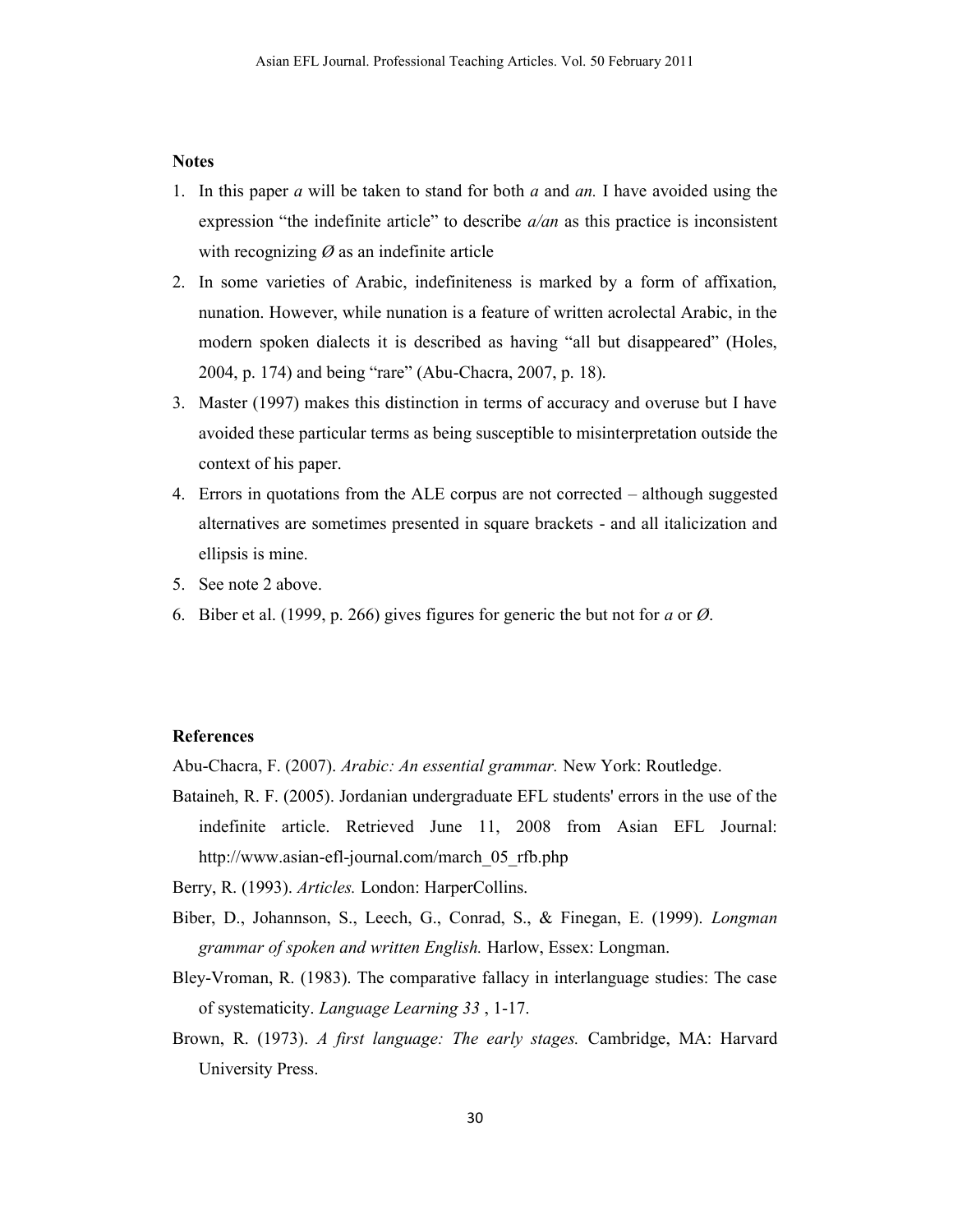### **Notes**

- 1. In this paper *a* will be taken to stand for both *a* and *an.* I have avoided using the expression "the indefinite article" to describe *a/an* as this practice is inconsistent with recognizing *Ø* as an indefinite article
- 2. In some varieties of Arabic, indefiniteness is marked by a form of affixation, nunation. However, while nunation is a feature of written acrolectal Arabic, in the modern spoken dialects it is described as having "all but disappeared" (Holes, 2004, p. 174) and being "rare" (Abu-Chacra, 2007, p. 18).
- 3. Master (1997) makes this distinction in terms of accuracy and overuse but I have avoided these particular terms as being susceptible to misinterpretation outside the context of his paper.
- 4. Errors in quotations from the ALE corpus are not corrected although suggested alternatives are sometimes presented in square brackets - and all italicization and ellipsis is mine.
- 5. See note 2 above.
- 6. Biber et al. (1999, p. 266) gives figures for generic the but not for *a* or *Ø*.

# **References**

Abu-Chacra, F. (2007). *Arabic: An essential grammar.* New York: Routledge.

- Bataineh, R. F. (2005). Jordanian undergraduate EFL students' errors in the use of the indefinite article. Retrieved June 11, 2008 from Asian EFL Journal: http://www.asian-efl-journal.com/march\_05\_rfb.php
- Berry, R. (1993). *Articles.* London: HarperCollins.
- Biber, D., Johannson, S., Leech, G., Conrad, S., & Finegan, E. (1999). *Longman grammar of spoken and written English.* Harlow, Essex: Longman.
- Bley-Vroman, R. (1983). The comparative fallacy in interlanguage studies: The case of systematicity. *Language Learning 33* , 1-17.
- Brown, R. (1973). *A first language: The early stages.* Cambridge, MA: Harvard University Press.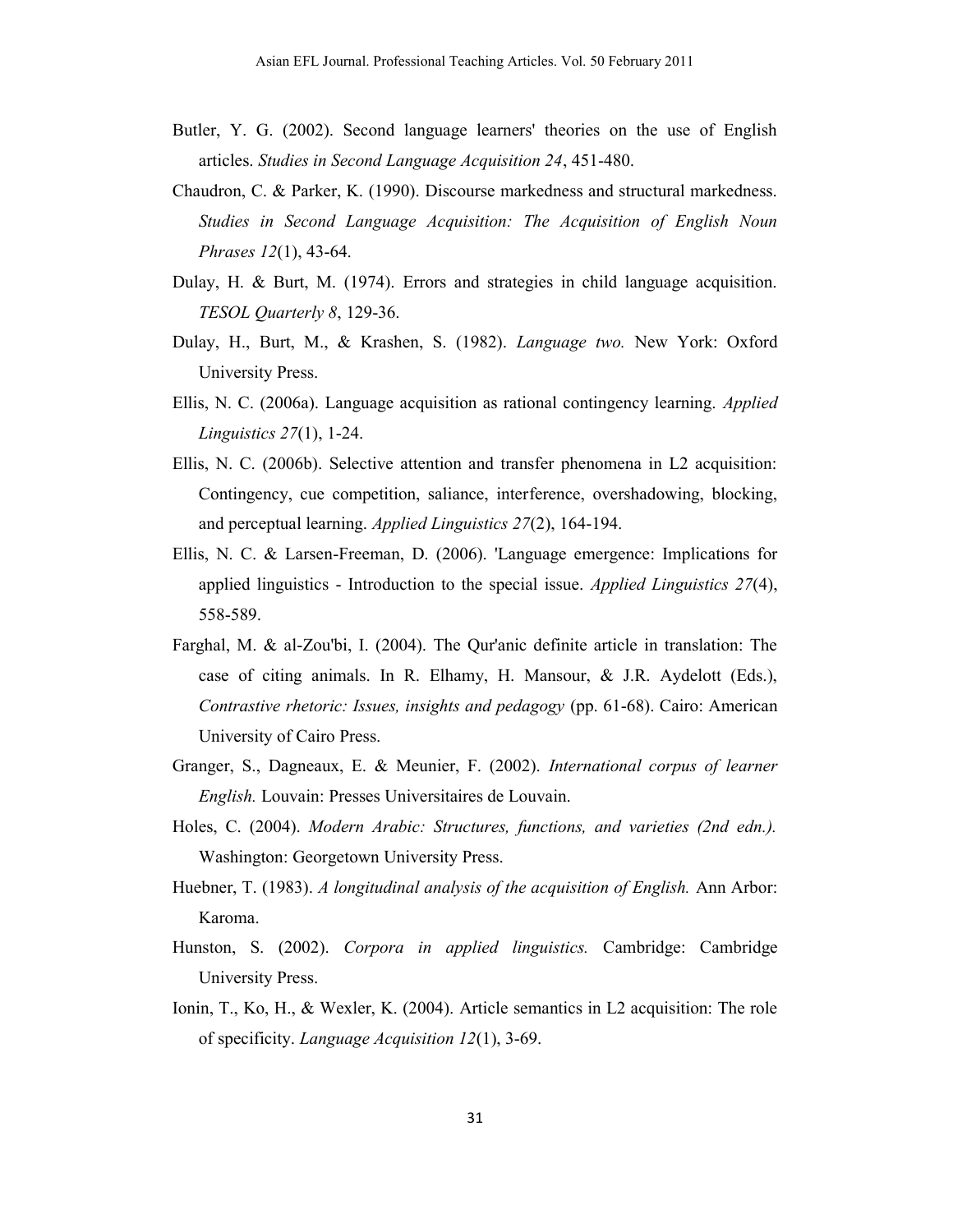- Butler, Y. G. (2002). Second language learners' theories on the use of English articles. *Studies in Second Language Acquisition 24*, 451-480.
- Chaudron, C. & Parker, K. (1990). Discourse markedness and structural markedness. *Studies in Second Language Acquisition: The Acquisition of English Noun Phrases 12*(1), 43-64.
- Dulay, H. & Burt, M. (1974). Errors and strategies in child language acquisition. *TESOL Quarterly 8*, 129-36.
- Dulay, H., Burt, M., & Krashen, S. (1982). *Language two.* New York: Oxford University Press.
- Ellis, N. C. (2006a). Language acquisition as rational contingency learning. *Applied Linguistics 27*(1), 1-24.
- Ellis, N. C. (2006b). Selective attention and transfer phenomena in L2 acquisition: Contingency, cue competition, saliance, interference, overshadowing, blocking, and perceptual learning. *Applied Linguistics 27*(2), 164-194.
- Ellis, N. C. & Larsen-Freeman, D. (2006). 'Language emergence: Implications for applied linguistics - Introduction to the special issue. *Applied Linguistics 27*(4), 558-589.
- Farghal, M. & al-Zou'bi, I. (2004). The Qur'anic definite article in translation: The case of citing animals. In R. Elhamy, H. Mansour, & J.R. Aydelott (Eds.), *Contrastive rhetoric: Issues, insights and pedagogy* (pp. 61-68). Cairo: American University of Cairo Press.
- Granger, S., Dagneaux, E. & Meunier, F. (2002). *International corpus of learner English.* Louvain: Presses Universitaires de Louvain.
- Holes, C. (2004). *Modern Arabic: Structures, functions, and varieties (2nd edn.).* Washington: Georgetown University Press.
- Huebner, T. (1983). *A longitudinal analysis of the acquisition of English.* Ann Arbor: Karoma.
- Hunston, S. (2002). *Corpora in applied linguistics.* Cambridge: Cambridge University Press.
- Ionin, T., Ko, H., & Wexler, K. (2004). Article semantics in L2 acquisition: The role of specificity. *Language Acquisition 12*(1), 3-69.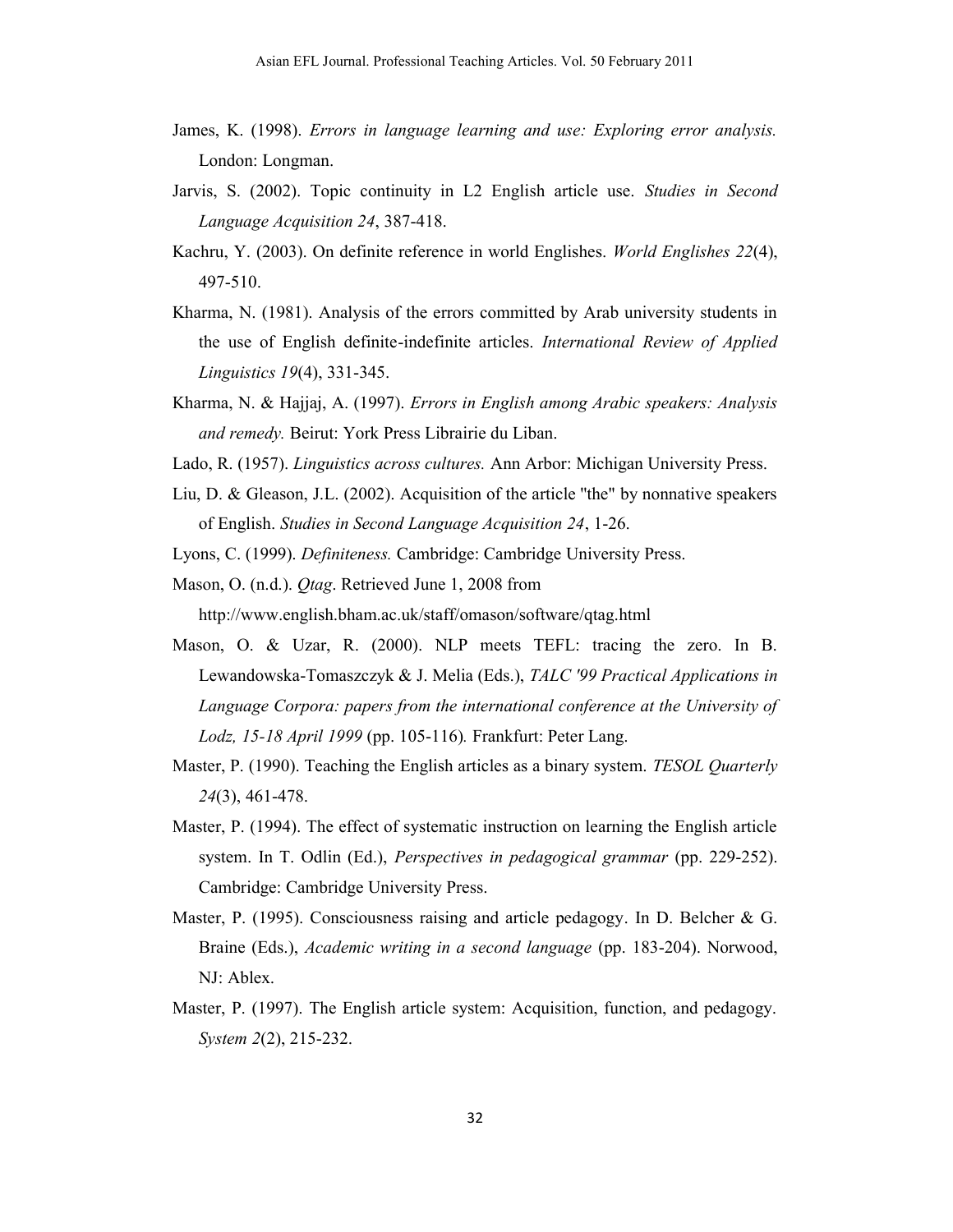- James, K. (1998). *Errors in language learning and use: Exploring error analysis.* London: Longman.
- Jarvis, S. (2002). Topic continuity in L2 English article use. *Studies in Second Language Acquisition 24*, 387-418.
- Kachru, Y. (2003). On definite reference in world Englishes. *World Englishes 22*(4), 497-510.
- Kharma, N. (1981). Analysis of the errors committed by Arab university students in the use of English definite-indefinite articles. *International Review of Applied Linguistics 19*(4), 331-345.
- Kharma, N. & Hajjaj, A. (1997). *Errors in English among Arabic speakers: Analysis and remedy.* Beirut: York Press Librairie du Liban.
- Lado, R. (1957). *Linguistics across cultures.* Ann Arbor: Michigan University Press.
- Liu, D. & Gleason, J.L. (2002). Acquisition of the article ''the" by nonnative speakers of English. *Studies in Second Language Acquisition 24*, 1-26.
- Lyons, C. (1999). *Definiteness.* Cambridge: Cambridge University Press.
- Mason, O. (n.d.). *Qtag*. Retrieved June 1, 2008 from

http://www.english.bham.ac.uk/staff/omason/software/qtag.html

- Mason, O. & Uzar, R. (2000). NLP meets TEFL: tracing the zero. In B. Lewandowska-Tomaszczyk & J. Melia (Eds.), *TALC '99 Practical Applications in Language Corpora: papers from the international conference at the University of Lodz, 15-18 April 1999* (pp. 105-116)*.* Frankfurt: Peter Lang.
- Master, P. (1990). Teaching the English articles as a binary system. *TESOL Quarterly 24*(3), 461-478.
- Master, P. (1994). The effect of systematic instruction on learning the English article system. In T. Odlin (Ed.), *Perspectives in pedagogical grammar* (pp. 229-252). Cambridge: Cambridge University Press.
- Master, P. (1995). Consciousness raising and article pedagogy. In D. Belcher & G. Braine (Eds.), *Academic writing in a second language* (pp. 183-204). Norwood, NJ: Ablex.
- Master, P. (1997). The English article system: Acquisition, function, and pedagogy. *System 2*(2), 215-232.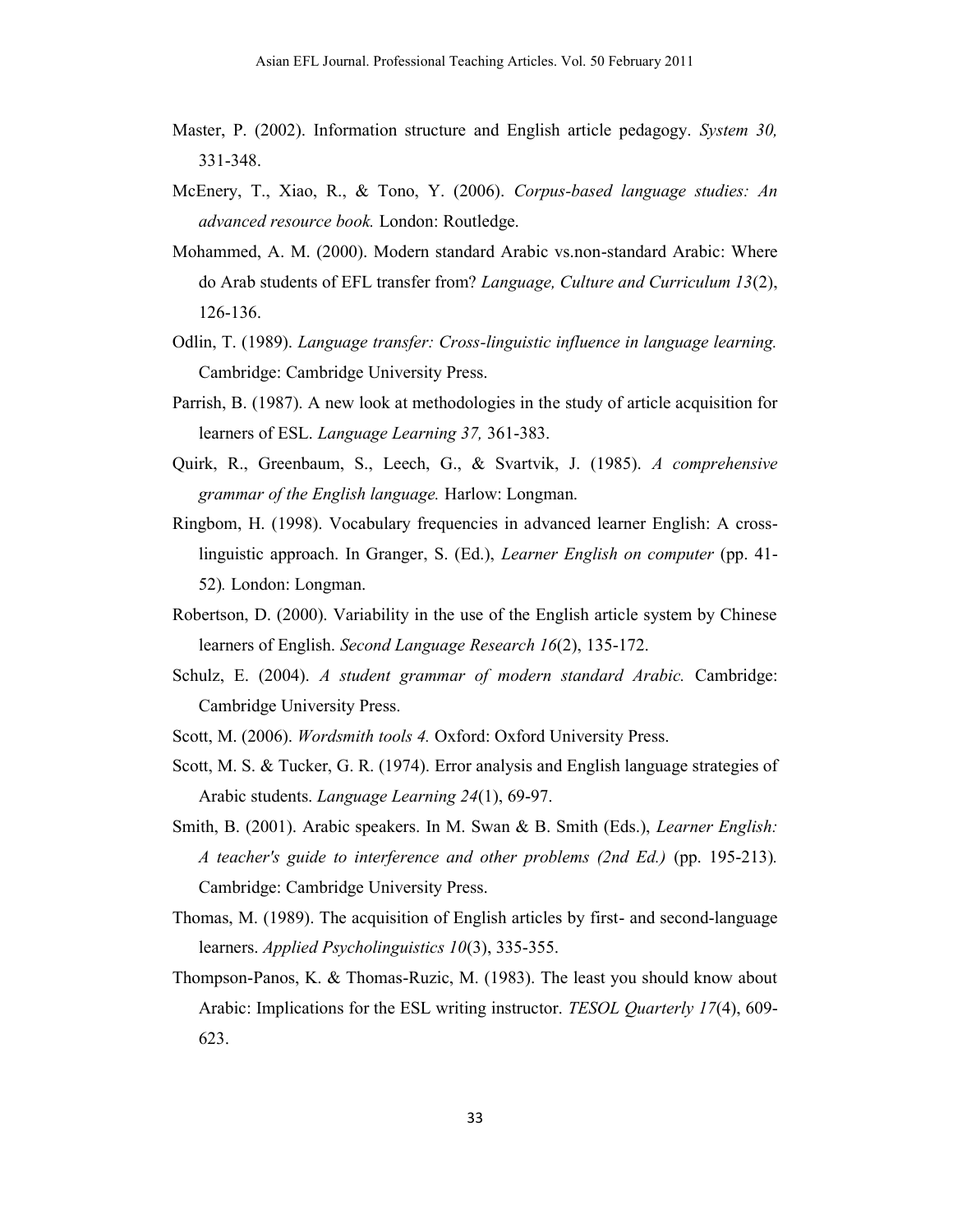- Master, P. (2002). Information structure and English article pedagogy. *System 30,* 331-348.
- McEnery, T., Xiao, R., & Tono, Y. (2006). *Corpus-based language studies: An advanced resource book.* London: Routledge.
- Mohammed, A. M. (2000). Modern standard Arabic vs.non-standard Arabic: Where do Arab students of EFL transfer from? *Language, Culture and Curriculum 13*(2), 126-136.
- Odlin, T. (1989). *Language transfer: Cross-linguistic influence in language learning.* Cambridge: Cambridge University Press.
- Parrish, B. (1987). A new look at methodologies in the study of article acquisition for learners of ESL. *Language Learning 37,* 361-383.
- Quirk, R., Greenbaum, S., Leech, G., & Svartvik, J. (1985). *A comprehensive grammar of the English language.* Harlow: Longman.
- Ringbom, H. (1998). Vocabulary frequencies in advanced learner English: A crosslinguistic approach. In Granger, S. (Ed.), *Learner English on computer* (pp. 41- 52)*.* London: Longman.
- Robertson, D. (2000). Variability in the use of the English article system by Chinese learners of English. *Second Language Research 16*(2), 135-172.
- Schulz, E. (2004). *A student grammar of modern standard Arabic.* Cambridge: Cambridge University Press.
- Scott, M. (2006). *Wordsmith tools 4.* Oxford: Oxford University Press.
- Scott, M. S. & Tucker, G. R. (1974). Error analysis and English language strategies of Arabic students. *Language Learning 24*(1), 69-97.
- Smith, B. (2001). Arabic speakers. In M. Swan & B. Smith (Eds.), *Learner English: A teacher's guide to interference and other problems (2nd Ed.)* (pp. 195-213)*.* Cambridge: Cambridge University Press.
- Thomas, M. (1989). The acquisition of English articles by first- and second-language learners. *Applied Psycholinguistics 10*(3), 335-355.
- Thompson-Panos, K. & Thomas-Ruzic, M. (1983). The least you should know about Arabic: Implications for the ESL writing instructor. *TESOL Quarterly 17*(4), 609- 623.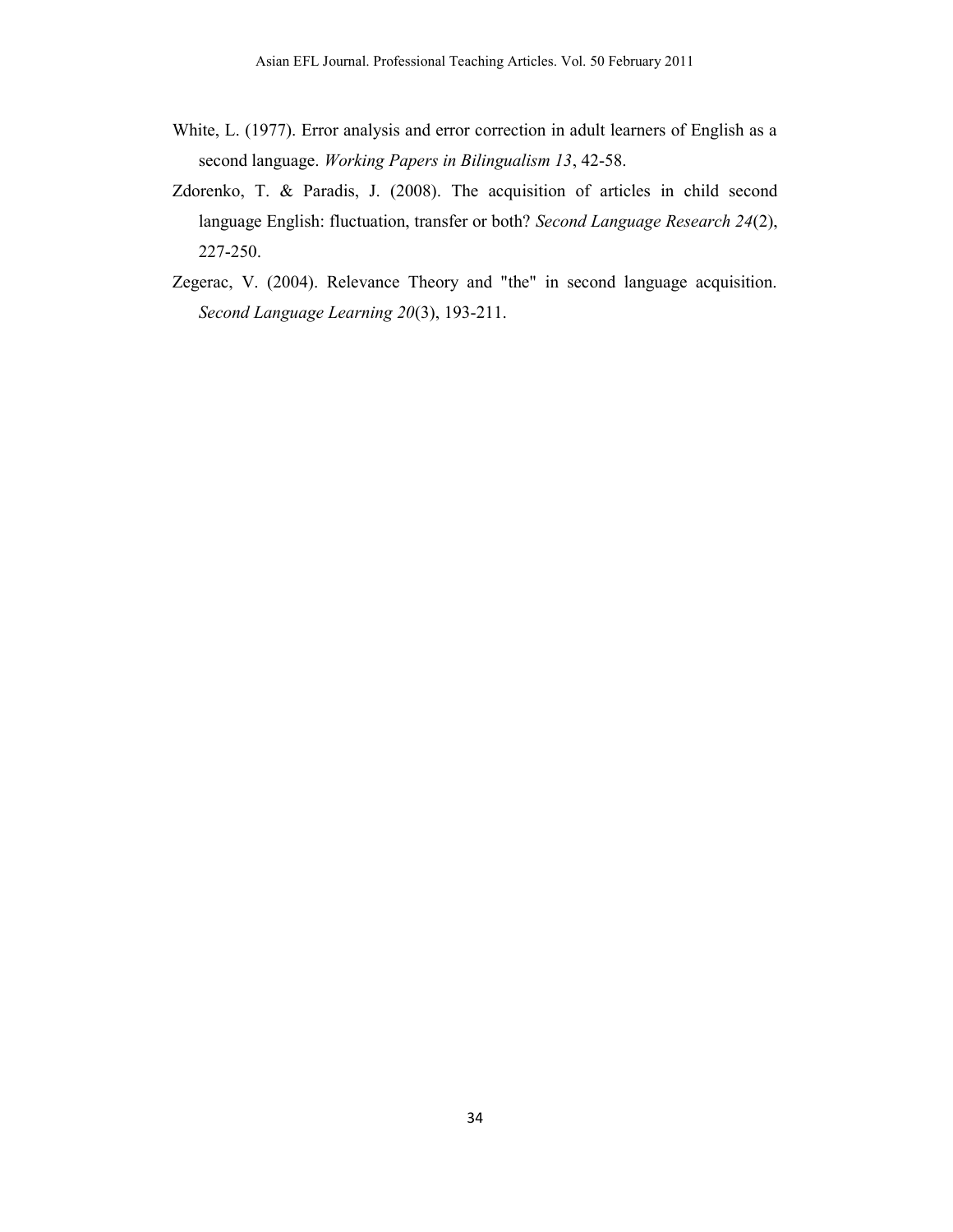- White, L. (1977). Error analysis and error correction in adult learners of English as a second language. *Working Papers in Bilingualism 13*, 42-58.
- Zdorenko, T. & Paradis, J. (2008). The acquisition of articles in child second language English: fluctuation, transfer or both? *Second Language Research 24*(2), 227-250.
- Zegerac, V. (2004). Relevance Theory and "the" in second language acquisition. *Second Language Learning 20*(3), 193-211.